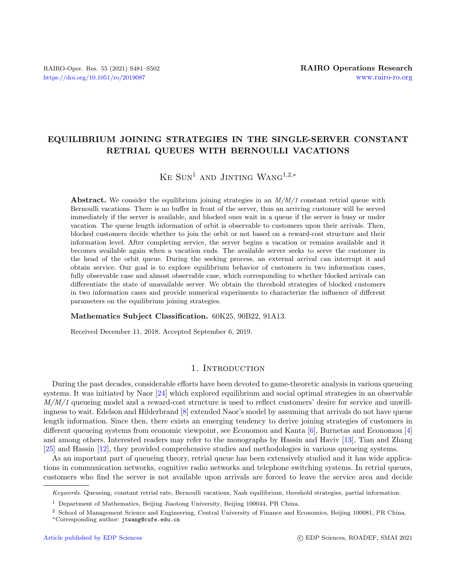# EQUILIBRIUM JOINING STRATEGIES IN THE SINGLE-SERVER CONSTANT RETRIAL QUEUES WITH BERNOULLI VACATIONS

KE  $\text{SUN}^1$  and JINTING WANG<sup>1,2,\*</sup>

Abstract. We consider the equilibrium joining strategies in an  $M/M/1$  constant retrial queue with Bernoulli vacations. There is no buffer in front of the server, thus an arriving customer will be served immediately if the server is available, and blocked ones wait in a queue if the server is busy or under vacation. The queue length information of orbit is observable to customers upon their arrivals. Then, blocked customers decide whether to join the orbit or not based on a reward-cost structure and their information level. After completing service, the server begins a vacation or remains available and it becomes available again when a vacation ends. The available server seeks to serve the customer in the head of the orbit queue. During the seeking process, an external arrival can interrupt it and obtain service. Our goal is to explore equilibrium behavior of customers in two information cases, fully observable case and almost observable case, which corresponding to whether blocked arrivals can differentiate the state of unavailable server. We obtain the threshold strategies of blocked customers in two information cases and provide numerical experiments to characterize the influence of different parameters on the equilibrium joining strategies.

#### Mathematics Subject Classification. 60K25, 90B22, 91A13.

Received December 11, 2018. Accepted September 6, 2019.

#### 1. INTRODUCTION

During the past decades, considerable efforts have been devoted to game-theoretic analysis in various queueing systems. It was initiated by Naor [\[24\]](#page-21-0) which explored equilibrium and social optimal strategies in an observable M/M/1 queueing model and a reward-cost structure is used to reflect customers' desire for service and unwillingness to wait. Edelson and Hilderbrand [\[8\]](#page-20-0) extended Naor's model by assuming that arrivals do not have queue length information. Since then, there exists an emerging tendency to derive joining strategies of customers in different queueing systems from economic viewpoint, see Economou and Kanta [\[6\]](#page-20-1), Burnetas and Economou [\[4\]](#page-20-2) and among others. Interested readers may refer to the monographs by Hassin and Haviv [\[13\]](#page-20-3), Tian and Zhang [\[25\]](#page-21-1) and Hassin [\[12\]](#page-20-4), they provided comprehensive studies and methodologies in various queueing systems.

As an important part of queueing theory, retrial queue has been extensively studied and it has wide applications in communication networks, cognitive radio networks and telephone switching systems. In retrial queues, customers who find the server is not available upon arrivals are forced to leave the service area and decide

Keywords. Queueing, constant retrial rate, Bernoulli vacations, Nash equilibrium, threshold strategies, partial information.

<sup>1</sup> Department of Mathematics, Beijing Jiaotong University, Beijing 100044, PR China.

<sup>2</sup> School of Management Science and Engineering, Central University of Finance and Economics, Beijing 100081, PR China. <sup>∗</sup>Corresponding author: [jtwang@cufe.edu.cn](mailto:jtwang@cufe.edu.cn)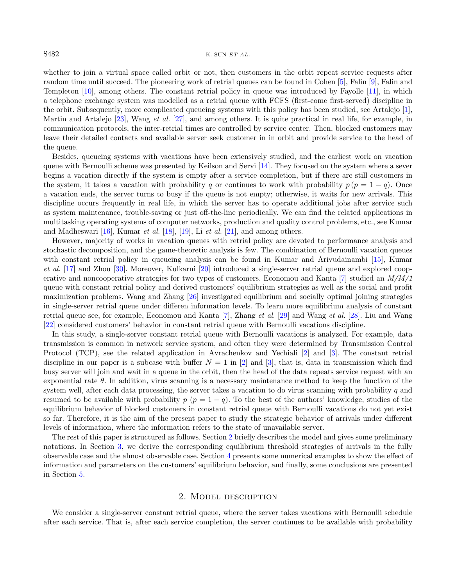#### S482 K. SUN ET AL.

whether to join a virtual space called orbit or not, then customers in the orbit repeat service requests after random time until succeed. The pioneering work of retrial queues can be found in Cohen [\[5\]](#page-20-5), Falin [\[9\]](#page-20-6), Falin and Templeton [\[10\]](#page-20-7), among others. The constant retrial policy in queue was introduced by Fayolle [\[11\]](#page-20-8), in which a telephone exchange system was modelled as a retrial queue with FCFS (first-come first-served) discipline in the orbit. Subsequently, more complicated queueing systems with this policy has been studied, see Artalejo [\[1\]](#page-20-9), Martin and Artalejo [\[23\]](#page-21-2), Wang et al. [\[27\]](#page-21-3), and among others. It is quite practical in real life, for example, in communication protocols, the inter-retrial times are controlled by service center. Then, blocked customers may leave their detailed contacts and available server seek customer in in orbit and provide service to the head of the queue.

Besides, queueing systems with vacations have been extensively studied, and the earliest work on vacation queue with Bernoulli scheme was presented by Keilson and Servi [\[14\]](#page-20-10). They focused on the system where a sever begins a vacation directly if the system is empty after a service completion, but if there are still customers in the system, it takes a vacation with probability q or continues to work with probability  $p (p = 1 - q)$ . Once a vacation ends, the server turns to busy if the queue is not empty; otherwise, it waits for new arrivals. This discipline occurs frequently in real life, in which the server has to operate additional jobs after service such as system maintenance, trouble-saving or just off-the-line periodically. We can find the related applications in multitasking operating systems of computer networks, production and quality control problems, etc., see Kumar and Madheswari  $[16]$ , Kumar *et al.*  $[18]$ ,  $[19]$ , Li *et al.*  $[21]$ , and among others.

However, majority of works in vacation queues with retrial policy are devoted to performance analysis and stochastic decomposition, and the game-theoretic analysis is few. The combination of Bernoulli vacation queues with constant retrial policy in queueing analysis can be found in Kumar and Arivudainambi [\[15\]](#page-20-14), Kumar et al. [\[17\]](#page-20-15) and Zhou [\[30\]](#page-21-5). Moreover, Kulkarni [\[20\]](#page-20-16) introduced a single-server retrial queue and explored coop-erative and noncooperative strategies for two types of customers. Economou and Kanta [\[7\]](#page-20-17) studied an  $M/M/1$ queue with constant retrial policy and derived customers' equilibrium strategies as well as the social and profit maximization problems. Wang and Zhang [\[26\]](#page-21-6) investigated equilibrium and socially optimal joining strategies in single-server retrial queue under differen information levels. To learn more equilibrium analysis of constant retrial queue see, for example, Economou and Kanta [\[7\]](#page-20-17), Zhang et al. [\[29\]](#page-21-7) and Wang et al. [\[28\]](#page-21-8). Liu and Wang [\[22\]](#page-21-9) considered customers' behavior in constant retrial queue with Bernoulli vacations discipline.

In this study, a single-server constant retrial queue with Bernoulli vacations is analyzed. For example, data transmission is common in network service system, and often they were determined by Transmission Control Protocol (TCP), see the related application in Avrachenkov and Yechiali [\[2\]](#page-20-18) and [\[3\]](#page-20-19). The constant retrial discipline in our paper is a subcase with buffer  $N = 1$  in [\[2\]](#page-20-18) and [\[3\]](#page-20-19), that is, data in transmission which find busy server will join and wait in a queue in the orbit, then the head of the data repeats service request with an exponential rate  $\theta$ . In addition, virus scanning is a necessary maintenance method to keep the function of the system well, after each data processing, the server takes a vacation to do virus scanning with probability q and resumed to be available with probability  $p$  ( $p = 1 - q$ ). To the best of the authors' knowledge, studies of the equilibrium behavior of blocked customers in constant retrial queue with Bernoulli vacations do not yet exist so far. Therefore, it is the aim of the present paper to study the strategic behavior of arrivals under different levels of information, where the information refers to the state of unavailable server.

The rest of this paper is structured as follows. Section [2](#page-1-0) briefly describes the model and gives some preliminary notations. In Section [3,](#page-2-0) we derive the corresponding equilibrium threshold strategies of arrivals in the fully observable case and the almost observable case. Section [4](#page-16-0) presents some numerical examples to show the effect of information and parameters on the customers' equilibrium behavior, and finally, some conclusions are presented in Section [5.](#page-20-20)

#### 2. Model description

<span id="page-1-0"></span>We consider a single-server constant retrial queue, where the server takes vacations with Bernoulli schedule after each service. That is, after each service completion, the server continues to be available with probability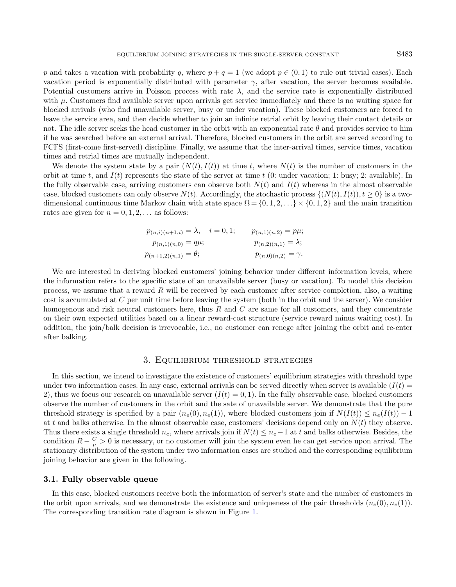p and takes a vacation with probability q, where  $p + q = 1$  (we adopt  $p \in (0, 1)$  to rule out trivial cases). Each vacation period is exponentially distributed with parameter  $\gamma$ , after vacation, the server becomes available. Potential customers arrive in Poisson process with rate  $\lambda$ , and the service rate is exponentially distributed with  $\mu$ . Customers find available server upon arrivals get service immediately and there is no waiting space for blocked arrivals (who find unavailable server, busy or under vacation). These blocked customers are forced to leave the service area, and then decide whether to join an infinite retrial orbit by leaving their contact details or not. The idle server seeks the head customer in the orbit with an exponential rate  $\theta$  and provides service to him if he was searched before an external arrival. Therefore, blocked customers in the orbit are served according to FCFS (first-come first-served) discipline. Finally, we assume that the inter-arrival times, service times, vacation times and retrial times are mutually independent.

We denote the system state by a pair  $(N(t), I(t))$  at time t, where  $N(t)$  is the number of customers in the orbit at time t, and  $I(t)$  represents the state of the server at time t (0: under vacation; 1: busy; 2: available). In the fully observable case, arriving customers can observe both  $N(t)$  and  $I(t)$  whereas in the almost observable case, blocked customers can only observe  $N(t)$ . Accordingly, the stochastic process  $\{(N(t), I(t)), t \geq 0\}$  is a twodimensional continuous time Markov chain with state space  $\Omega = \{0, 1, 2, \ldots\} \times \{0, 1, 2\}$  and the main transition rates are given for  $n = 0, 1, 2, \ldots$  as follows:

| $p_{(n,i)(n+1,i)} = \lambda, \quad i = 0,1;$ | $p_{(n,1)(n,2)} = p\mu;$    |
|----------------------------------------------|-----------------------------|
| $p_{(n,1)(n,0)} = q\mu;$                     | $p_{(n,2)(n,1)} = \lambda;$ |
| $p_{(n+1,2)(n,1)} = \theta;$                 | $p_{(n,0)(n,2)} = \gamma.$  |

We are interested in deriving blocked customers' joining behavior under different information levels, where the information refers to the specific state of an unavailable server (busy or vacation). To model this decision process, we assume that a reward  $R$  will be received by each customer after service completion, also, a waiting cost is accumulated at C per unit time before leaving the system (both in the orbit and the server). We consider homogenous and risk neutral customers here, thus  $R$  and  $C$  are same for all customers, and they concentrate on their own expected utilities based on a linear reward-cost structure (service reward minus waiting cost). In addition, the join/balk decision is irrevocable, i.e., no customer can renege after joining the orbit and re-enter after balking.

#### 3. Equilibrium threshold strategies

<span id="page-2-0"></span>In this section, we intend to investigate the existence of customers' equilibrium strategies with threshold type under two information cases. In any case, external arrivals can be served directly when server is available  $(I(t)$ 2), thus we focus our research on unavailable server  $(I(t) = 0, 1)$ . In the fully observable case, blocked customers observe the number of customers in the orbit and the sate of unavailable server. We demonstrate that the pure threshold strategy is specified by a pair  $(n_e(0), n_e(1))$ , where blocked customers join if  $N(I(t)) \leq n_e(I(t)) - 1$ at t and balks otherwise. In the almost observable case, customers' decisions depend only on  $N(t)$  they observe. Thus there exists a single threshold  $n_e$ , where arrivals join if  $N(t) \leq n_e-1$  at t and balks otherwise. Besides, the condition  $R - \frac{C}{\mu} > 0$  is necessary, or no customer will join the system even he can get service upon arrival. The stationary distribution of the system under two information cases are studied and the corresponding equilibrium joining behavior are given in the following.

#### 3.1. Fully observable queue

<span id="page-2-1"></span>In this case, blocked customers receive both the information of server's state and the number of customers in the orbit upon arrivals, and we demonstrate the existence and uniqueness of the pair thresholds  $(n_e(0), n_e(1))$ . The corresponding transition rate diagram is shown in Figure [1.](#page-3-0)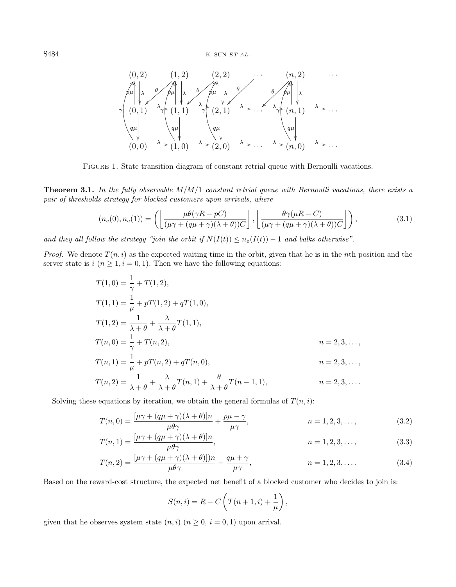<span id="page-3-3"></span><span id="page-3-0"></span>

Figure 1. State transition diagram of constant retrial queue with Bernoulli vacations.

**Theorem 3.1.** In the fully observable  $M/M/1$  constant retrial queue with Bernoulli vacations, there exists a pair of thresholds strategy for blocked customers upon arrivals, where

$$
(n_e(0), n_e(1)) = \left( \left\lfloor \frac{\mu \theta(\gamma R - pC)}{(\mu \gamma + (q\mu + \gamma)(\lambda + \theta))C} \right\rfloor, \left\lfloor \frac{\theta \gamma(\mu R - C)}{(\mu \gamma + (q\mu + \gamma)(\lambda + \theta))C} \right\rfloor \right),
$$
\n(3.1)

and they all follow the strategy "join the orbit if  $N(I(t)) \leq n_e(I(t)) - 1$  and balks otherwise".

*Proof.* We denote  $T(n, i)$  as the expected waiting time in the orbit, given that he is in the nth position and the server state is  $i \ (n \geq 1, i = 0, 1)$ . Then we have the following equations:

$$
T(1,0) = \frac{1}{\gamma} + T(1,2),
$$
  
\n
$$
T(1,1) = \frac{1}{\mu} + pT(1,2) + qT(1,0),
$$
  
\n
$$
T(1,2) = \frac{1}{\lambda + \theta} + \frac{\lambda}{\lambda + \theta} T(1,1),
$$
  
\n
$$
T(n,0) = \frac{1}{\gamma} + T(n,2),
$$
  
\n
$$
n = 2,3,...,
$$
  
\n
$$
T(n,1) = \frac{1}{\mu} + pT(n,2) + qT(n,0),
$$
  
\n
$$
n = 2,3,...,
$$
  
\n
$$
T(n,2) = \frac{1}{\lambda + \theta} + \frac{\lambda}{\lambda + \theta} T(n,1) + \frac{\theta}{\lambda + \theta} T(n-1,1),
$$
  
\n
$$
n = 2,3,...,
$$

Solving these equations by iteration, we obtain the general formulas of  $T(n, i)$ :

$$
T(n,0) = \frac{[\mu\gamma + (q\mu + \gamma)(\lambda + \theta)]n}{\mu\theta\gamma} + \frac{p\mu - \gamma}{\mu\gamma}, \qquad n = 1, 2, 3, \dots,
$$
 (3.2)

$$
T(n,1) = \frac{[\mu\gamma + (q\mu + \gamma)(\lambda + \theta)]n}{\mu\theta\gamma},
$$
\n
$$
n = 1, 2, 3, \dots,
$$
\n(3.3)

$$
T(n,2) = \frac{[\mu\gamma + (q\mu + \gamma)(\lambda + \theta)])n}{\mu\theta\gamma} - \frac{q\mu + \gamma}{\mu\gamma}, \qquad n = 1,2,3,\dots
$$
 (3.4)

Based on the reward-cost structure, the expected net benefit of a blocked customer who decides to join is:

<span id="page-3-2"></span><span id="page-3-1"></span>
$$
S(n,i) = R - C\left(T(n+1,i) + \frac{1}{\mu}\right),\,
$$

given that he observes system state  $(n, i)$   $(n \geq 0, i = 0, 1)$  upon arrival.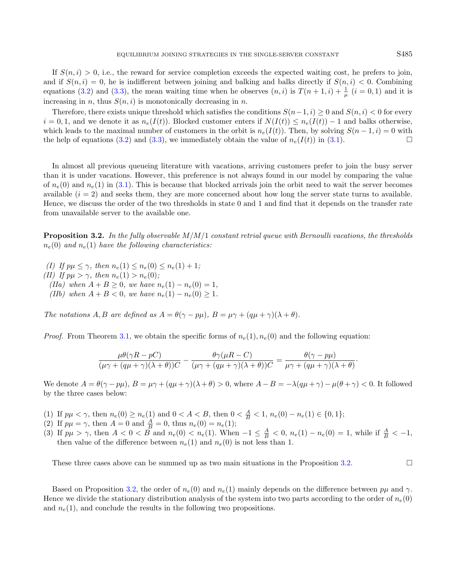If  $S(n, i) > 0$ , i.e., the reward for service completion exceeds the expected waiting cost, he prefers to join, and if  $S(n, i) = 0$ , he is indifferent between joining and balking and balks directly if  $S(n, i) < 0$ . Combining equations [\(3.2\)](#page-3-1) and [\(3.3\)](#page-3-2), the mean waiting time when he observes  $(n, i)$  is  $T(n + 1, i) + \frac{1}{\mu}$   $(i = 0, 1)$  and it is

increasing in n, thus  $S(n, i)$  is monotonically decreasing in n. Therefore, there exists unique threshold which satisfies the conditions  $S(n-1, i) \geq 0$  and  $S(n, i) \leq 0$  for every  $i = 0, 1$ , and we denote it as  $n_e(I(t))$ . Blocked customer enters if  $N(I(t)) \leq n_e(I(t)) - 1$  and balks otherwise, which leads to the maximal number of customers in the orbit is  $n_e(I(t))$ . Then, by solving  $S(n-1,i) = 0$  with the help of equations [\(3.2\)](#page-3-1) and [\(3.3\)](#page-3-2), we immediately obtain the value of  $n_e(I(t))$  in [\(3.1\)](#page-3-3).

In almost all previous queueing literature with vacations, arriving customers prefer to join the busy server than it is under vacations. However, this preference is not always found in our model by comparing the value of  $n_e(0)$  and  $n_e(1)$  in [\(3.1\)](#page-3-3). This is because that blocked arrivals join the orbit need to wait the server becomes available  $(i = 2)$  and seeks them, they are more concerned about how long the server state turns to available. Hence, we discuss the order of the two thresholds in state 0 and 1 and find that it depends on the transfer rate from unavailable server to the available one.

<span id="page-4-0"></span>**Proposition 3.2.** In the fully observable  $M/M/1$  constant retrial queue with Bernoulli vacations, the thresholds  $n_e(0)$  and  $n_e(1)$  have the following characteristics:

- (I) If  $p\mu \leq \gamma$ , then  $n_e(1) \leq n_e(0) \leq n_e(1) + 1$ ; (II) If  $p\mu > \gamma$ , then  $n_e(1) > n_e(0)$ ; (IIa) when  $A + B \ge 0$ , we have  $n_e(1) - n_e(0) = 1$ ,
	- (*IIb*) when  $A + B < 0$ , we have  $n_e(1) n_e(0) \ge 1$ .

The notations A, B are defined as  $A = \theta(\gamma - p\mu)$ ,  $B = \mu\gamma + (q\mu + \gamma)(\lambda + \theta)$ .

*Proof.* From Theorem [3.1,](#page-2-1) we obtain the specific forms of  $n_e(1), n_e(0)$  and the following equation:

<span id="page-4-1"></span>
$$
\frac{\mu\theta(\gamma R - pC)}{(\mu\gamma + (q\mu + \gamma)(\lambda + \theta))C} - \frac{\theta\gamma(\mu R - C)}{(\mu\gamma + (q\mu + \gamma)(\lambda + \theta))C} = \frac{\theta(\gamma - p\mu)}{\mu\gamma + (q\mu + \gamma)(\lambda + \theta)}.
$$

We denote  $A = \theta(\gamma - p\mu)$ ,  $B = \mu\gamma + (q\mu + \gamma)(\lambda + \theta) > 0$ , where  $A - B = -\lambda(q\mu + \gamma) - \mu(\theta + \gamma) < 0$ . It followed by the three cases below:

- (1) If  $p\mu < \gamma$ , then  $n_e(0) \ge n_e(1)$  and  $0 < A < B$ , then  $0 < \frac{A}{B} < 1$ ,  $n_e(0) n_e(1) \in \{0, 1\}$ ;
- (2) If  $p\mu = \gamma$ , then  $A = 0$  and  $\frac{A}{B} = 0$ , thus  $n_e(0) = n_e(1)$ ;
- (3) If  $p\mu > \gamma$ , then  $A < 0 < B$  and  $n_e(0) < n_e(1)$ . When  $-1 \leq \frac{A}{B} < 0$ ,  $n_e(1) n_e(0) = 1$ , while if  $\frac{A}{B} < -1$ , then value of the difference between  $n_e(1)$  and  $n_e(0)$  is not less than 1.

These three cases above can be summed up as two main situations in the Proposition [3.2.](#page-4-0)

<span id="page-4-2"></span>Based on Proposition [3.2,](#page-4-0) the order of  $n_e(0)$  and  $n_e(1)$  mainly depends on the difference between  $p\mu$  and  $\gamma$ . Hence we divide the stationary distribution analysis of the system into two parts according to the order of  $n_e(0)$ and  $n_e(1)$ , and conclude the results in the following two propositions.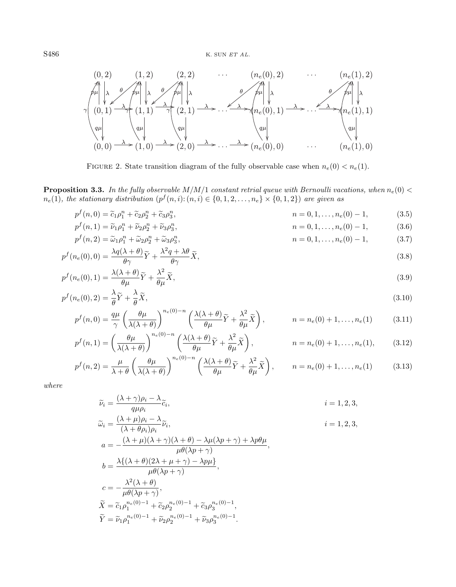<span id="page-5-0"></span>

<span id="page-5-3"></span><span id="page-5-2"></span><span id="page-5-1"></span>FIGURE 2. State transition diagram of the fully observable case when  $n_e(0) < n_e(1)$ .

**Proposition 3.3.** In the fully observable  $M/M/1$  constant retrial queue with Bernoulli vacations, when  $n_e(0)$  <  $n_e(1)$ , the stationary distribution  $(p^f(n,i):(n,i) \in \{0,1,2,\ldots,n_e\} \times \{0,1,2\})$  are given as

$$
p^f(n,0) = \tilde{c}_1 p_1^n + \tilde{c}_2 p_2^n + \tilde{c}_3 p_3^n, \qquad n = 0, 1, \dots, n_e(0) - 1,\tag{3.5}
$$

$$
p^f(n,1) = \widetilde{\nu}_1 \rho_1^n + \widetilde{\nu}_2 \rho_2^n + \widetilde{\nu}_3 \rho_3^n, \qquad n = 0, 1, \dots, n_e(0) - 1,\tag{3.6}
$$

$$
p^f(n,2) = \widetilde{\omega}_1 \rho_1^n + \widetilde{\omega}_2 \rho_2^n + \widetilde{\omega}_3 \rho_3^n,
$$
  
\n
$$
n = 0, 1, ..., n_e(0) - 1,
$$
 (3.7)

$$
p^{f}(n_e(0),0) = \frac{\lambda q(\lambda + \theta)}{\theta \gamma} \widetilde{Y} + \frac{\lambda^2 q + \lambda \theta}{\theta \gamma} \widetilde{X},
$$
\n(3.8)

$$
p^{f}(n_e(0),1) = \frac{\lambda(\lambda+\theta)}{\theta\mu}\widetilde{Y} + \frac{\lambda^2}{\theta\mu}\widetilde{X},
$$
\n(3.9)

$$
p^f(n_e(0),2) = \frac{\lambda}{\theta}\widetilde{Y} + \frac{\lambda}{\theta}\widetilde{X},\tag{3.10}
$$

$$
p^{f}(n,0) = \frac{q\mu}{\gamma} \left(\frac{\theta\mu}{\lambda(\lambda+\theta)}\right)^{n_e(0)-n} \left(\frac{\lambda(\lambda+\theta)}{\theta\mu}\widetilde{Y} + \frac{\lambda^2}{\theta\mu}\widetilde{X}\right), \qquad n = n_e(0) + 1, \dots, n_e(1) \tag{3.11}
$$

$$
p^f(n,1) = \left(\frac{\theta\mu}{\lambda(\lambda+\theta)}\right)^{n_e(0)-n} \left(\frac{\lambda(\lambda+\theta)}{\theta\mu}\widetilde{Y} + \frac{\lambda^2}{\theta\mu}\widetilde{X}\right), \qquad n = n_e(0) + 1, \dots, n_e(1), \qquad (3.12)
$$

$$
p^{f}(n,2) = \frac{\mu}{\lambda + \theta} \left( \frac{\theta \mu}{\lambda(\lambda + \theta)} \right)^{n_e(0) - n} \left( \frac{\lambda(\lambda + \theta)}{\theta \mu} \widetilde{Y} + \frac{\lambda^2}{\theta \mu} \widetilde{X} \right), \qquad n = n_e(0) + 1, \dots, n_e(1) \tag{3.13}
$$

where

$$
\widetilde{\nu}_{i} = \frac{(\lambda + \gamma)\rho_{i} - \lambda}{q\mu\rho_{i}} \widetilde{c}_{i},
$$
\n
$$
\widetilde{\omega}_{i} = \frac{(\lambda + \mu)\rho_{i} - \lambda}{(\lambda + \theta\rho_{i})\rho_{i}} \widetilde{\nu}_{i},
$$
\n
$$
i = 1, 2, 3,
$$
\n
$$
i = 1, 2, 3,
$$

$$
a = -\frac{(\lambda + \mu)(\lambda + \gamma)(\lambda + \theta) - \lambda\mu(\lambda p + \gamma) + \lambda p\theta\mu}{\mu\theta(\lambda p + \gamma)},
$$
  
\n
$$
b = \frac{\lambda\{(\lambda + \theta)(2\lambda + \mu + \gamma) - \lambda p\mu\}}{\mu\theta(\lambda p + \gamma)},
$$
  
\n
$$
c = -\frac{\lambda^2(\lambda + \theta)}{\mu\theta(\lambda p + \gamma)},
$$
  
\n
$$
\tilde{X} = \tilde{c}_1 \rho_1^{n_e(0)-1} + \tilde{c}_2 \rho_2^{n_e(0)-1} + \tilde{c}_3 \rho_3^{n_e(0)-1},
$$
  
\n
$$
\tilde{Y} = \tilde{\nu}_1 \rho_1^{n_e(0)-1} + \tilde{\nu}_2 \rho_2^{n_e(0)-1} + \tilde{\nu}_3 \rho_3^{n_e(0)-1}.
$$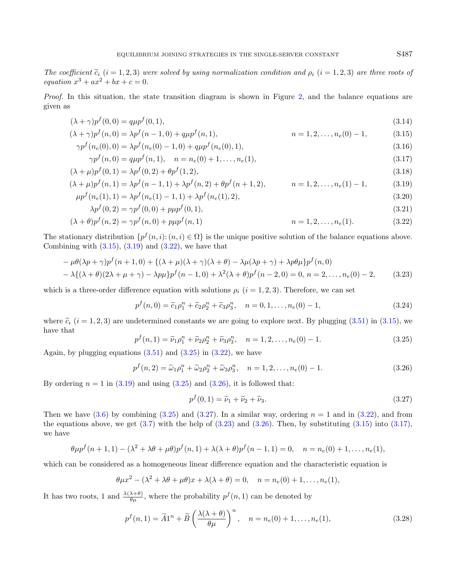The coefficient  $\tilde{c}_i$  (i = 1, 2, 3) were solved by using normalization condition and  $\rho_i$  (i = 1, 2, 3) are three roots of equation  $x^3 + ax^2 + bx + c = 0$ .

Proof. In this situation, the state transition diagram is shown in Figure [2,](#page-5-0) and the balance equations are given as

<span id="page-6-9"></span><span id="page-6-7"></span><span id="page-6-1"></span><span id="page-6-0"></span>
$$
(\lambda + \gamma)p^{f}(0,0) = q\mu p^{f}(0,1),
$$
\n(3.14)

$$
(\lambda + \gamma)p^{f}(n,0) = \lambda p^{f}(n-1,0) + q\mu p^{f}(n,1), \qquad n = 1,2,\ldots,n_e(0)-1,\tag{3.15}
$$

<span id="page-6-10"></span><span id="page-6-2"></span>
$$
\gamma p^f(n_e(0),0) = \lambda p^f(n_e(0)-1,0) + q\mu p^f(n_e(0),1),\tag{3.16}
$$

$$
\gamma p^f(n,0) = q\mu p^f(n,1), \quad n = n_e(0) + 1, \dots, n_e(1), \tag{3.17}
$$

$$
(\lambda + \mu)p^{f}(0, 1) = \lambda p^{f}(0, 2) + \theta p^{f}(1, 2),
$$
\n(3.18)

$$
(\lambda + \mu)p^{f}(n, 1) = \lambda p^{f}(n - 1, 1) + \lambda p^{f}(n, 2) + \theta p^{f}(n + 1, 2), \qquad n = 1, 2, ..., n_e(1) - 1,
$$
\n(3.19)

$$
\mu p^f(n_e(1), 1) = \lambda p^f(n_e(1) - 1, 1) + \lambda p^f(n_e(1), 2),\tag{3.20}
$$

$$
\lambda p^f(0,2) = \gamma p^f(0,0) + p\mu p^f(0,1),\tag{3.21}
$$

<span id="page-6-3"></span>
$$
(\lambda + \theta)p^{f}(n, 2) = \gamma p^{f}(n, 0) + p\mu p^{f}(n, 1) \qquad n = 1, 2, ..., n_e(1). \qquad (3.22)
$$

The stationary distribution  $\{p^f(n,i): (n,i) \in \Omega\}$  is the unique positive solution of the balance equations above. Combining with  $(3.15)$ ,  $(3.19)$  and  $(3.22)$ , we have that

$$
-\mu\theta(\lambda p + \gamma)p^{f}(n+1,0) + \{(\lambda + \mu)(\lambda + \gamma)(\lambda + \theta) - \lambda\mu(\lambda p + \gamma) + \lambda p\theta\mu\}p^{f}(n,0)
$$
  

$$
-\lambda\{(\lambda + \theta)(2\lambda + \mu + \gamma) - \lambda p\mu\}p^{f}(n-1,0) + \lambda^{2}(\lambda + \theta)p^{f}(n-2,0) = 0, n = 2,..., n_{e}(0) - 2,
$$
 (3.23)

which is a three-order difference equation with solutions  $\rho_i$   $(i = 1, 2, 3)$ . Therefore, we can set

<span id="page-6-6"></span><span id="page-6-4"></span>
$$
p^{f}(n,0) = \tilde{c}_1 \rho_1^{n} + \tilde{c}_2 \rho_2^{n} + \tilde{c}_3 \rho_3^{n}, \quad n = 0, 1, ..., n_e(0) - 1,
$$
\n(3.24)

where  $\tilde{c}_i$  (i = 1, 2, 3) are undetermined constants we are going to explore next. By plugging [\(3.51\)](#page-9-0) in [\(3.15\)](#page-6-0), we have that

$$
p^{f}(n,1) = \tilde{\nu}_{1}\rho_{1}^{n} + \tilde{\nu}_{2}\rho_{2}^{n} + \tilde{\nu}_{3}\rho_{3}^{n}, \quad n = 1, 2, ..., n_{e}(0) - 1.
$$
 (3.25)

Again, by plugging equations  $(3.51)$  and  $(3.25)$  in  $(3.22)$ , we have

$$
p^{f}(n,2) = \tilde{\omega}_1 \rho_1^{n} + \tilde{\omega}_2 \rho_2^{n} + \tilde{\omega}_3 \rho_3^{n}, \quad n = 1, 2, ..., n_e(0) - 1.
$$
 (3.26)

By ordering  $n = 1$  in  $(3.19)$  and using  $(3.25)$  and  $(3.26)$ , it is followed that:

<span id="page-6-8"></span><span id="page-6-5"></span>
$$
p^f(0,1) = \tilde{\nu}_1 + \tilde{\nu}_2 + \tilde{\nu}_3. \tag{3.27}
$$

Then we have  $(3.6)$  by combining  $(3.25)$  and  $(3.27)$ . In a similar way, ordering  $n = 1$  and in  $(3.22)$ , and from the equations above, we get  $(3.7)$  with the help of  $(3.23)$  and  $(3.26)$ . Then, by substituting  $(3.15)$  into  $(3.17)$ , we have

$$
\theta \mu p^f(n+1,1) - (\lambda^2 + \lambda \theta + \mu \theta) p^f(n,1) + \lambda(\lambda + \theta) p^f(n-1,1) = 0, \quad n = n_e(0) + 1, \dots, n_e(1),
$$

which can be considered as a homogeneous linear difference equation and the characteristic equation is

$$
\theta \mu x^2 - (\lambda^2 + \lambda \theta + \mu \theta)x + \lambda(\lambda + \theta) = 0, \quad n = n_e(0) + 1, \dots, n_e(1),
$$

It has two roots, 1 and  $\frac{\lambda(\lambda+\theta)}{\theta\mu}$ , where the probability  $p^f(n,1)$  can be denoted by

$$
p^{f}(n,1) = \widetilde{A}1^{n} + \widetilde{B}\left(\frac{\lambda(\lambda + \theta)}{\theta\mu}\right)^{n}, \quad n = n_{e}(0) + 1, \dots, n_{e}(1),
$$
\n(3.28)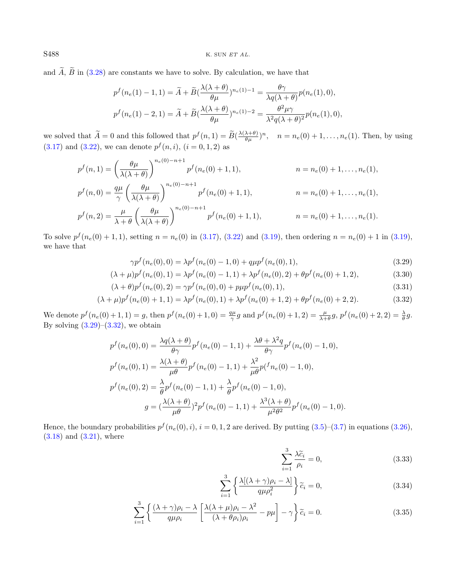S488 K. SUN ET AL.

and  $\widetilde{A}$ ,  $\widetilde{B}$  in [\(3.28\)](#page-6-8) are constants we have to solve. By calculation, we have that

$$
p^f(n_e(1) - 1, 1) = \tilde{A} + \tilde{B}(\frac{\lambda(\lambda + \theta)}{\theta \mu})^{n_e(1) - 1} = \frac{\theta \gamma}{\lambda q(\lambda + \theta)} p(n_e(1), 0),
$$
  

$$
p^f(n_e(1) - 2, 1) = \tilde{A} + \tilde{B}(\frac{\lambda(\lambda + \theta)}{\theta \mu})^{n_e(1) - 2} = \frac{\theta^2 \mu \gamma}{\lambda^2 q(\lambda + \theta)^2} p(n_e(1), 0),
$$

we solved that  $\widetilde{A} = 0$  and this followed that  $p^f(n, 1) = \widetilde{B}(\frac{\lambda(\lambda + \theta)}{\theta \mu})^n$ ,  $n = n_e(0) + 1, \ldots, n_e(1)$ . Then, by using  $(3.17)$  and  $(3.22)$ , we can denote  $p^f(n, i)$ ,  $(i = 0, 1, 2)$  as

$$
p^{f}(n, 1) = \left(\frac{\theta\mu}{\lambda(\lambda + \theta)}\right)^{n_e(0) - n + 1} p^{f}(n_e(0) + 1, 1), \qquad n = n_e(0) + 1, \dots, n_e(1),
$$
  
\n
$$
p^{f}(n, 0) = \frac{q\mu}{\gamma} \left(\frac{\theta\mu}{\lambda(\lambda + \theta)}\right)^{n_e(0) - n + 1} p^{f}(n_e(0) + 1, 1), \qquad n = n_e(0) + 1, \dots, n_e(1),
$$
  
\n
$$
p^{f}(n, 2) = \frac{\mu}{\lambda + \theta} \left(\frac{\theta\mu}{\lambda(\lambda + \theta)}\right)^{n_e(0) - n + 1} p^{f}(n_e(0) + 1, 1), \qquad n = n_e(0) + 1, \dots, n_e(1).
$$

To solve  $p^f(n_e(0) + 1, 1)$ , setting  $n = n_e(0)$  in [\(3.17\)](#page-6-7), [\(3.22\)](#page-6-2) and [\(3.19\)](#page-6-1), then ordering  $n = n_e(0) + 1$  in (3.19), we have that

<span id="page-7-4"></span><span id="page-7-1"></span><span id="page-7-0"></span>
$$
\gamma p^f(n_e(0),0) = \lambda p^f(n_e(0)-1,0) + q\mu p^f(n_e(0),1),\tag{3.29}
$$

$$
(\lambda + \mu)p^{f}(n_e(0), 1) = \lambda p^{f}(n_e(0) - 1, 1) + \lambda p^{f}(n_e(0), 2) + \theta p^{f}(n_e(0) + 1, 2),
$$
\n(3.30)

$$
(\lambda + \theta)p^{f}(n_e(0), 2) = \gamma p^{f}(n_e(0), 0) + p\mu p^{f}(n_e(0), 1),
$$
\n(3.31)

$$
(\lambda + \mu)p^{f}(n_e(0) + 1, 1) = \lambda p^{f}(n_e(0), 1) + \lambda p^{f}(n_e(0) + 1, 2) + \theta p^{f}(n_e(0) + 2, 2).
$$
\n(3.32)

We denote  $p^f(n_e(0) + 1, 1) = g$ , then  $p^f(n_e(0) + 1, 0) = \frac{q\mu}{\gamma}g$  and  $p^f(n_e(0) + 1, 2) = \frac{\mu}{\lambda + \theta}g$ ,  $p^f(n_e(0) + 2, 2) = \frac{\lambda}{\theta}g$ . By solving  $(3.29)$ – $(3.32)$ , we obtain

$$
p^f(n_e(0),0) = \frac{\lambda q(\lambda + \theta)}{\theta \gamma} p^f(n_e(0) - 1,1) + \frac{\lambda \theta + \lambda^2 q}{\theta \gamma} p^f(n_e(0) - 1,0),
$$
  
\n
$$
p^f(n_e(0),1) = \frac{\lambda(\lambda + \theta)}{\mu \theta} p^f(n_e(0) - 1,1) + \frac{\lambda^2}{\mu \theta} p^f(n_e(0) - 1,0),
$$
  
\n
$$
p^f(n_e(0),2) = \frac{\lambda}{\theta} p^f(n_e(0) - 1,1) + \frac{\lambda}{\theta} p^f(n_e(0) - 1,0),
$$
  
\n
$$
g = (\frac{\lambda(\lambda + \theta)}{\mu \theta})^2 p^f(n_e(0) - 1,1) + \frac{\lambda^3(\lambda + \theta)}{\mu^2 \theta^2} p^f(n_e(0) - 1,0).
$$

Hence, the boundary probabilities  $p^f(n_e(0), i)$ ,  $i = 0, 1, 2$  are derived. By putting  $(3.5)$ – $(3.7)$  in equations  $(3.26)$ ,  $(3.18)$  and  $(3.21)$ , where

<span id="page-7-3"></span><span id="page-7-2"></span>
$$
\sum_{i=1}^{3} \frac{\lambda \tilde{c}_i}{\rho_i} = 0,
$$
\n(3.33)

$$
\sum_{i=1}^{3} \left\{ \frac{\lambda [(\lambda + \gamma)\rho_i - \lambda]}{q\mu \rho_i^2} \right\} \tilde{c}_i = 0,
$$
\n(3.34)

$$
\sum_{i=1}^{3} \left\{ \frac{(\lambda + \gamma)\rho_i - \lambda}{q\mu \rho_i} \left[ \frac{\lambda(\lambda + \mu)\rho_i - \lambda^2}{(\lambda + \theta \rho_i)\rho_i} - p\mu \right] - \gamma \right\} \tilde{c}_i = 0.
$$
 (3.35)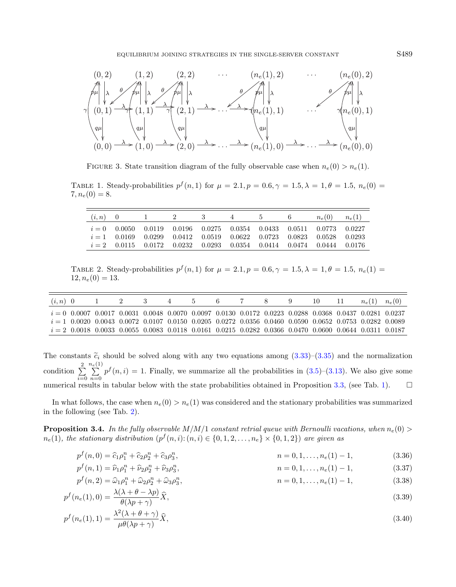<span id="page-8-2"></span><span id="page-8-0"></span>

<span id="page-8-1"></span>FIGURE 3. State transition diagram of the fully observable case when  $n_e(0) > n_e(1)$ .

TABLE 1. Steady-probabilities  $p^f(n,1)$  for  $\mu = 2.1, p = 0.6, \gamma = 1.5, \lambda = 1, \theta = 1.5, n_e(0) =$  $7, n_e(0) = 8.$ 

|  | $(i, n)$ 0 1 2 | $3\overline{3}$                                                                                                                                                                                                          | $4\phantom{.0000}\pm 4\phantom{.000}\pm 4\phantom{.000}\pm 4\phantom{.000}\pm 4\phantom{.000}\pm 4\phantom{.000}\pm 4\phantom{.000}\pm 4\phantom{.000}\pm 4\phantom{.000}\pm 4\phantom{.000}\pm 4\phantom{.000}\pm 4\phantom{.000}\pm 4\phantom{.000}\pm 4\phantom{.000}\pm 4\phantom{.000}\pm 4\phantom{.000}\pm 4\phantom{.000}\pm 4\phantom{.000}\pm 4\phant$ | 6. | $n_e(0)$ $n_e(1)$ |  |
|--|----------------|--------------------------------------------------------------------------------------------------------------------------------------------------------------------------------------------------------------------------|------------------------------------------------------------------------------------------------------------------------------------------------------------------------------------------------------------------------------------------------------------------------------------------------------------------------------------------------------------------|----|-------------------|--|
|  |                | $i = 0$ 0.0050 0.0119 0.0196 0.0275 0.0354 0.0433 0.0511 0.0773 0.0227<br>$i=1$ 0.0169 0.0299 0.0412 0.0519 0.0622 0.0723 0.0823 0.0528 0.0293<br>$i = 2$ 0.0115 0.0172 0.0232 0.0293 0.0354 0.0414 0.0474 0.0444 0.0176 |                                                                                                                                                                                                                                                                                                                                                                  |    |                   |  |

<span id="page-8-3"></span>TABLE 2. Steady-probabilities  $p^f(n,1)$  for  $\mu = 2.1, p = 0.6, \gamma = 1.5, \lambda = 1, \theta = 1.5, n_e(1) =$  $12, n_e(0) = 13.$ 

| $(i, n)$ 0 |                                                                                                                                                                                                                        |  | 4 | $\mathcal{D}$ | -6 | ×. | - 9 | -10 | $n_e(1)$ $n_e(0)$ |  |
|------------|------------------------------------------------------------------------------------------------------------------------------------------------------------------------------------------------------------------------|--|---|---------------|----|----|-----|-----|-------------------|--|
|            | $i = 0$ 0.0007 0.0017 0.0031 0.0048 0.0070 0.0097 0.0130 0.0172 0.0223 0.0288 0.0368 0.0437 0.0281 0.0237<br>$i = 1$ 0.0020 0.0043 0.0072 0.0107 0.0150 0.0205 0.0272 0.0356 0.0460 0.0590 0.0652 0.0753 0.0282 0.0089 |  |   |               |    |    |     |     |                   |  |
|            | $i = 2$ 0.0018 0.0033 0.0055 0.0083 0.0118 0.0161 0.0215 0.0282 0.0366 0.0470 0.0600 0.0644 0.0311 0.0187                                                                                                              |  |   |               |    |    |     |     |                   |  |

The constants  $\tilde{c}_i$  should be solved along with any two equations among  $(3.33)-(3.35)$  $(3.33)-(3.35)$  $(3.33)-(3.35)$  and the normalization condition  $\sum_{ }^{2}$  $i=0$  $\sum_{i=1}^{n_e(1)}$  $\sum_{n=0}^{\infty} p^f(n, i) = 1$ . Finally, we summarize all the probabilities in [\(3.5\)](#page-4-1)–[\(3.13\)](#page-5-3). We also give some numerical results in tabular below with the state probabilities obtained in Proposition [3.3,](#page-4-2) (see Tab. [1\)](#page-8-0).  $\square$ 

In what follows, the case when  $n_e(0) > n_e(1)$  was considered and the stationary probabilities was summarized in the following (see Tab. [2\)](#page-8-1).

<span id="page-8-5"></span>**Proposition 3.4.** In the fully observable  $M/M/1$  constant retrial queue with Bernoulli vacations, when  $n_e(0)$  $n_e(1)$ , the stationary distribution  $(p^f(n,i):(n,i) \in \{0,1,2,\ldots,n_e\} \times \{0,1,2\})$  are given as

<span id="page-8-4"></span>
$$
p^{f}(n,0) = \hat{c}_1 p_1^n + \hat{c}_2 p_2^n + \hat{c}_3 p_3^n, \qquad n = 0, 1, ..., n_e(1) - 1,
$$
\n(3.36)

$$
p^{f}(n,1) = \hat{\nu}_1 \rho_1^n + \hat{\nu}_2 \rho_2^n + \hat{\nu}_3 \rho_3^n, \qquad n = 0, 1, \dots, n_e(1) - 1,
$$
\n(3.37)

$$
p^f(n,2) = \widehat{\omega}_1 \rho_1^n + \widehat{\omega}_2 \rho_2^n + \widehat{\omega}_3 \rho_3^n, \qquad n = 0, 1, \dots, n_e(1) - 1,\tag{3.38}
$$

$$
p^{f}(n_e(1),0) = \frac{\lambda(\lambda + \theta - \lambda p)}{\theta(\lambda p + \gamma)} \widehat{X},
$$
\n
$$
\lambda^2(\lambda + \theta + \gamma)
$$
\n(3.39)

$$
p^{f}(n_e(1),1) = \frac{\lambda^2(\lambda + \theta + \gamma)}{\mu\theta(\lambda p + \gamma)}\hat{X},
$$
\n(3.40)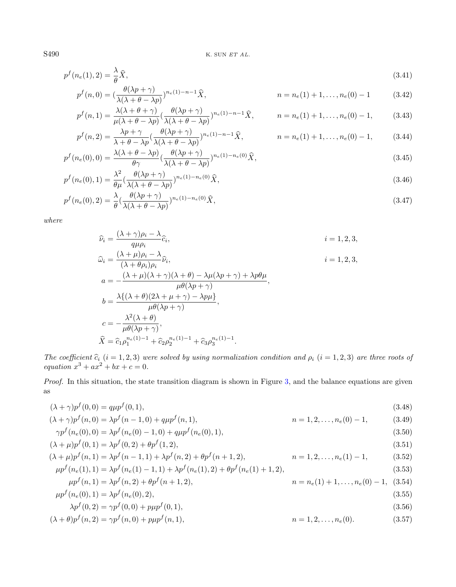$$
p^{f}(n_e(1),2) = \frac{\lambda}{\theta}\widehat{X},\tag{3.41}
$$

<span id="page-9-9"></span>
$$
p^{f}(n,0) = \left(\frac{\theta(\lambda p + \gamma)}{\lambda(\lambda + \theta - \lambda p)}\right)^{n_e(1) - n - 1} \hat{X}, \qquad n = n_e(1) + 1, \dots, n_e(0) - 1 \qquad (3.42)
$$

$$
p^f(n,1) = \frac{\lambda(\lambda + \theta + \gamma)}{\mu(\lambda + \theta - \lambda p)} \left(\frac{\theta(\lambda p + \gamma)}{\lambda(\lambda + \theta - \lambda p)}\right)^{n_e(1) - n - 1} \widehat{X}, \qquad n = n_e(1) + 1, \dots, n_e(0) - 1,\tag{3.43}
$$

$$
p^f(n,2) = \frac{\lambda p + \gamma}{\lambda + \theta - \lambda p} \left(\frac{\theta(\lambda p + \gamma)}{\lambda(\lambda + \theta - \lambda p)}\right)^{n_e(1) - n - 1} \hat{X}, \qquad n = n_e(1) + 1, \dots, n_e(0) - 1,\tag{3.44}
$$

$$
p^f(n_e(0),0) = \frac{\lambda(\lambda + \theta - \lambda p)}{\theta \gamma} \left(\frac{\theta(\lambda p + \gamma)}{\lambda(\lambda + \theta - \lambda p)}\right)^{n_e(1) - n_e(0)} \widehat{X},\tag{3.45}
$$

$$
p^f(n_e(0),1) = \frac{\lambda^2}{\theta\mu} \left(\frac{\theta(\lambda p + \gamma)}{\lambda(\lambda + \theta - \lambda p)}\right)^{n_e(1) - n_e(0)} \widehat{X},\tag{3.46}
$$

$$
p^f(n_e(0),2) = \frac{\lambda}{\theta} \left(\frac{\theta(\lambda p + \gamma)}{\lambda(\lambda + \theta - \lambda p)}\right)^{n_e(1) - n_e(0)} \widehat{X},\tag{3.47}
$$

where

<span id="page-9-8"></span><span id="page-9-7"></span><span id="page-9-6"></span><span id="page-9-5"></span><span id="page-9-4"></span><span id="page-9-2"></span><span id="page-9-1"></span><span id="page-9-0"></span>
$$
\hat{\nu}_{i} = \frac{(\lambda + \gamma)\rho_{i} - \lambda}{q\mu\rho_{i}} \hat{c}_{i},
$$
\n
$$
\hat{\omega}_{i} = \frac{(\lambda + \mu)\rho_{i} - \lambda}{(\lambda + \theta\rho_{i})\rho_{i}} \hat{\nu}_{i},
$$
\n
$$
i = 1, 2, 3,
$$
\n
$$
a = -\frac{(\lambda + \mu)(\lambda + \gamma)(\lambda + \theta) - \lambda\mu(\lambda p + \gamma) + \lambda p\theta\mu}{\mu\theta(\lambda p + \gamma)},
$$
\n
$$
b = \frac{\lambda\{(\lambda + \theta)(2\lambda + \mu + \gamma) - \lambda p\mu\}}{\mu\theta(\lambda p + \gamma)},
$$
\n
$$
c = -\frac{\lambda^{2}(\lambda + \theta)}{\mu\theta(\lambda p + \gamma)},
$$
\n
$$
\hat{X} = \hat{c}_{1}\rho_{1}^{n_{e}(1)-1} + \hat{c}_{2}\rho_{2}^{n_{e}(1)-1} + \hat{c}_{3}\rho_{3}^{n_{e}(1)-1}.
$$

The coefficient  $\hat{c}_i$   $(i = 1, 2, 3)$  were solved by using normalization condition and  $\rho_i$   $(i = 1, 2, 3)$  are three roots of equation  $x^3 + ax^2 + bx + c = 0$ .

Proof. In this situation, the state transition diagram is shown in Figure [3,](#page-8-2) and the balance equations are given as

$$
(\lambda + \gamma)p^{f}(0,0) = q\mu p^{f}(0,1),
$$
\n(3.48)

<span id="page-9-3"></span>
$$
(\lambda + \gamma)p^{f}(n,0) = \lambda p^{f}(n-1,0) + q\mu p^{f}(n,1),
$$
  
\n
$$
\gamma p^{f}(n_e(0),0) = \lambda p^{f}(n_e(0)-1,0) + q\mu p^{f}(n_e(0),1),
$$
  
\n(3.49)  
\n(3.50)

$$
(\lambda + \mu)p^{f}(0, 1) = \lambda p^{f}(0, 2) + \theta p^{f}(1, 2),
$$
\n(3.51)

$$
(\lambda + \mu)p^{f}(n, 1) = \lambda p^{f}(n - 1, 1) + \lambda p^{f}(n, 2) + \theta p^{f}(n + 1, 2),
$$
  
\n
$$
\mu p^{f}(n_e(1), 1) = \lambda p^{f}(n_e(1) - 1, 1) + \lambda p^{f}(n_e(1), 2) + \theta p^{f}(n_e(1) + 1, 2),
$$
\n(3.53)

$$
\mu p^{f}(n,1) = \lambda p^{f}(n,2) + \theta p^{f}(n+1,2),
$$
\n
$$
n = n_e(1) + 1, \dots, n_e(0) - 1, \quad (3.54)
$$

$$
\mu p^f(n_e(0), 1) = \lambda p^f(n_e(0), 2),\tag{3.55}
$$

$$
\lambda p^f(0,2) = \gamma p^f(0,0) + p\mu p^f(0,1),\tag{3.56}
$$

$$
(\lambda + \theta)p^{f}(n, 2) = \gamma p^{f}(n, 0) + p\mu p^{f}(n, 1),
$$
\n
$$
n = 1, 2, ..., n_e(0).
$$
\n(3.57)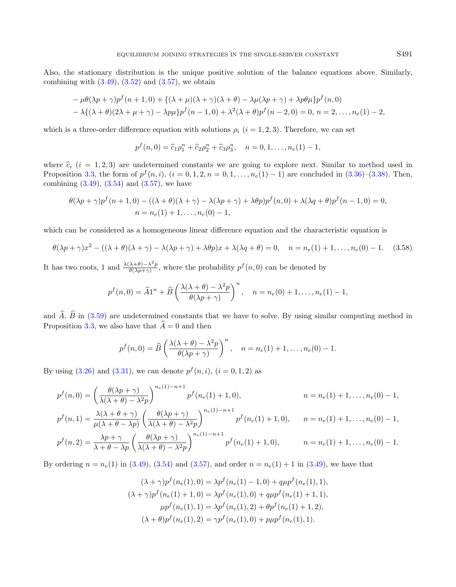Also, the stationary distribution is the unique positive solution of the balance equations above. Similarly, combining with  $(3.49)$ ,  $(3.52)$  and  $(3.57)$ , we obtain

$$
-\mu\theta(\lambda p + \gamma)p^{f}(n+1,0) + \{(\lambda + \mu)(\lambda + \gamma)(\lambda + \theta) - \lambda\mu(\lambda p + \gamma) + \lambda p\theta\mu\}p^{f}(n,0)
$$
  

$$
-\lambda\{(\lambda + \theta)(2\lambda + \mu + \gamma) - \lambda p\mu\}p^{f}(n-1,0) + \lambda^{2}(\lambda + \theta)p^{f}(n-2,0) = 0, n = 2,..., n_e(1) - 2,
$$

which is a three-order difference equation with solutions  $\rho_i$   $(i = 1, 2, 3)$ . Therefore, we can set

$$
p^f(n,0) = \hat{c}_1 \rho_1^n + \hat{c}_2 \rho_2^n + \hat{c}_3 \rho_3^n
$$
,  $n = 0, 1, ..., n_e(1) - 1$ ,

where  $\hat{c}_i$  (i = 1, 2, 3) are undetermined constants we are going to explore next. Similar to method used in Proposition [3.3,](#page-4-2) the form of  $p^f(n, i)$ ,  $(i = 0, 1, 2, n = 0, 1, \ldots, n_e(1) - 1)$  are concluded in  $(3.36)$ – $(3.38)$ . Then, combining  $(3.49)$ ,  $(3.54)$  and  $(3.57)$ , we have

$$
\theta(\lambda p + \gamma)p^{f}(n+1,0) - ((\lambda + \theta)(\lambda + \gamma) - \lambda(\lambda p + \gamma) + \lambda \theta p)p^{f}(n,0) + \lambda(\lambda q + \theta)p^{f}(n-1,0) = 0,
$$
  
\n
$$
n = n_{e}(1) + 1, ..., n_{e}(0) - 1,
$$

which can be considered as a homogeneous linear difference equation and the characteristic equation is

$$
\theta(\lambda p + \gamma)x^2 - ((\lambda + \theta)(\lambda + \gamma) - \lambda(\lambda p + \gamma) + \lambda \theta p)x + \lambda(\lambda q + \theta) = 0, \quad n = n_e(1) + 1, \dots, n_e(0) - 1. \tag{3.58}
$$

It has two roots, 1 and  $\frac{\lambda(\lambda+\theta)-\lambda^2 p}{\theta(\lambda n+\gamma)}$  $\frac{\lambda+\theta-\lambda^2p}{\theta(\lambda p+\gamma)}$ , where the probability  $p^f(n,0)$  can be denoted by

$$
p^{f}(n,0) = \widehat{A}1^{n} + \widehat{B}\left(\frac{\lambda(\lambda + \theta) - \lambda^{2}p}{\theta(\lambda p + \gamma)}\right)^{n}, \quad n = n_{e}(0) + 1, \ldots, n_{e}(1) - 1,
$$

and  $\hat{A}$ ,  $\hat{B}$  in [\(3.59\)](#page-11-0) are undetermined constants that we have to solve. By using similar computing method in Proposition [3.3,](#page-4-2) we also have that  $\hat{A} = 0$  and then

$$
p^f(n, 0) = \widehat{B}\left(\frac{\lambda(\lambda + \theta) - \lambda^2 p}{\theta(\lambda p + \gamma)}\right)^n
$$
,  $n = n_e(1) + 1, ..., n_e(0) - 1$ .

By using  $(3.26)$  and  $(3.31)$ , we can denote  $p^f(n, i)$ ,  $(i = 0, 1, 2)$  as

$$
p^{f}(n,0) = \left(\frac{\theta(\lambda p + \gamma)}{\lambda(\lambda + \theta) - \lambda^{2}p}\right)^{n_{e}(1) - n + 1} p^{f}(n_{e}(1) + 1,0), \qquad n = n_{e}(1) + 1, ..., n_{e}(0) - 1,
$$
  
\n
$$
p^{f}(n,1) = \frac{\lambda(\lambda + \theta + \gamma)}{\mu(\lambda + \theta - \lambda p)} \left(\frac{\theta(\lambda p + \gamma)}{\lambda(\lambda + \theta) - \lambda^{2}p}\right)^{n_{e}(1) - n + 1} p^{f}(n_{e}(1) + 1,0), \qquad n = n_{e}(1) + 1, ..., n_{e}(0) - 1,
$$
  
\n
$$
p^{f}(n,2) = \frac{\lambda p + \gamma}{\lambda + \theta - \lambda p} \left(\frac{\theta(\lambda p + \gamma)}{\lambda(\lambda + \theta) - \lambda^{2}p}\right)^{n_{e}(1) - n + 1} p^{f}(n_{e}(1) + 1,0), \qquad n = n_{e}(1) + 1, ..., n_{e}(0) - 1.
$$

By ordering  $n = n_e(1)$  in [\(3.49\)](#page-9-1), [\(3.54\)](#page-9-4) and [\(3.57\)](#page-9-3), and order  $n = n_e(1) + 1$  in (3.49), we have that

$$
(\lambda + \gamma)p^{f}(n_e(1), 0) = \lambda p^{f}(n_e(1) - 1, 0) + q\mu p^{f}(n_e(1), 1),
$$
  
\n
$$
(\lambda + \gamma)p^{f}(n_e(1) + 1, 0) = \lambda p^{f}(n_e(1), 0) + q\mu p^{f}(n_e(1) + 1, 1),
$$
  
\n
$$
\mu p^{f}(n_e(1), 1) = \lambda p^{f}(n_e(1), 2) + \theta p^{f}(n_e(1) + 1, 2),
$$
  
\n
$$
(\lambda + \theta)p^{f}(n_e(1), 2) = \gamma p^{f}(n_e(1), 0) + \mu p^{f}(n_e(1), 1).
$$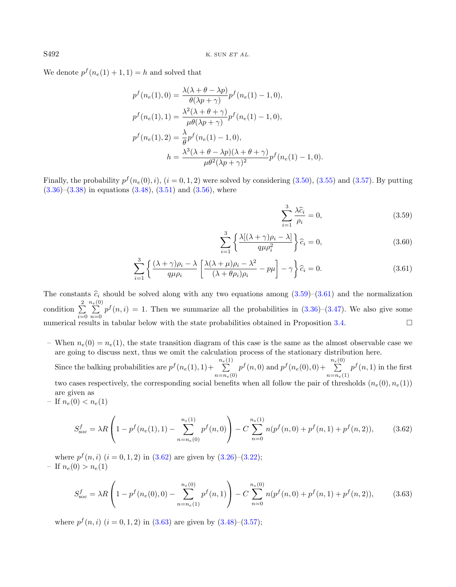We denote  $p^f(n_e(1) + 1, 1) = h$  and solved that

$$
p^f(n_e(1),0) = \frac{\lambda(\lambda + \theta - \lambda p)}{\theta(\lambda p + \gamma)} p^f(n_e(1) - 1,0),
$$
  
\n
$$
p^f(n_e(1),1) = \frac{\lambda^2(\lambda + \theta + \gamma)}{\mu\theta(\lambda p + \gamma)} p^f(n_e(1) - 1,0),
$$
  
\n
$$
p^f(n_e(1),2) = \frac{\lambda}{\theta} p^f(n_e(1) - 1,0),
$$
  
\n
$$
h = \frac{\lambda^3(\lambda + \theta - \lambda p)(\lambda + \theta + \gamma)}{\mu\theta^2(\lambda p + \gamma)^2} p^f(n_e(1) - 1,0).
$$

Finally, the probability  $p^f(n_e(0), i)$ ,  $(i = 0, 1, 2)$  were solved by considering  $(3.50)$ ,  $(3.55)$  and  $(3.57)$ . By putting  $(3.36)$ – $(3.38)$  in equations  $(3.48)$ ,  $(3.51)$  and  $(3.56)$ , where

<span id="page-11-1"></span><span id="page-11-0"></span>
$$
\sum_{i=1}^{3} \frac{\lambda \hat{c}_i}{\rho_i} = 0,
$$
\n(3.59)

$$
\sum_{i=1}^{3} \left\{ \frac{\lambda [(\lambda + \gamma)\rho_i - \lambda]}{q\mu \rho_i^2} \right\} \hat{c}_i = 0,
$$
\n(3.60)

<span id="page-11-2"></span>
$$
\sum_{i=1}^{3} \left\{ \frac{(\lambda + \gamma)\rho_i - \lambda}{q\mu \rho_i} \left[ \frac{\lambda(\lambda + \mu)\rho_i - \lambda^2}{(\lambda + \theta \rho_i)\rho_i} - p\mu \right] - \gamma \right\} \hat{c}_i = 0.
$$
 (3.61)

The constants  $\hat{c}_i$  should be solved along with any two equations among  $(3.59)-(3.61)$  $(3.59)-(3.61)$  $(3.59)-(3.61)$  and the normalization condition  $\sum_{ }^{2}$  $i=0$  $\sum_{n=0}^{n_e(0)}$  $\sum_{n=0}$   $p^f(n,i) = 1$ . Then we summarize all the probabilities in [\(3.36\)](#page-8-3)–[\(3.47\)](#page-9-9). We also give some numerical results in tabular below with the state probabilities obtained in Proposition [3.4.](#page-8-5)

- <span id="page-11-3"></span>– When  $n_e(0) = n_e(1)$ , the state transition diagram of this case is the same as the almost observable case we are going to discuss next, thus we omit the calculation process of the stationary distribution here. Since the balking probabilities are  $p^f(n_e(1), 1) + \sum_{n_e(1)}^{n_e(1)}$  $n=n_e(0)$  $p^f(n,0)$  and  $p^f(n_e(0),0) + \sum_{k=0}^{n_e(0)}$  $n=n_e(1)$  $p^f(n,1)$  in the first two cases respectively, the corresponding social benefits when all follow the pair of thresholds  $(n_e(0), n_e(1))$ are given as
- If  $n_e(0) < n_e(1)$

$$
S_{\rm soc}^f = \lambda R \left( 1 - p^f(n_e(1), 1) - \sum_{n=n_e(0)}^{n_e(1)} p^f(n, 0) \right) - C \sum_{n=0}^{n_e(1)} n(p^f(n, 0) + p^f(n, 1) + p^f(n, 2)), \tag{3.62}
$$

where  $p^{f}(n, i)$   $(i = 0, 1, 2)$  in  $(3.62)$  are given by  $(3.26)$ – $(3.22)$ ; – If  $n_e(0) > n_e(1)$ 

$$
S_{\rm soc}^f = \lambda R \left( 1 - p^f(n_e(0), 0) - \sum_{n=n_e(1)}^{n_e(0)} p^f(n, 1) \right) - C \sum_{n=0}^{n_e(0)} n(p^f(n, 0) + p^f(n, 1) + p^f(n, 2)), \tag{3.63}
$$

where  $p^{f}(n, i)$   $(i = 0, 1, 2)$  in  $(3.63)$  are given by  $(3.48)$ – $(3.57)$ ;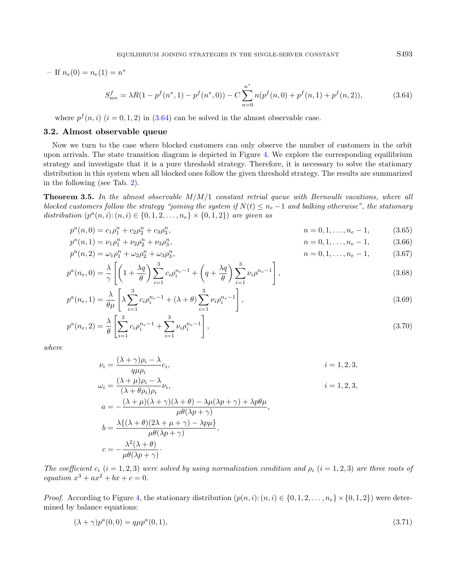$-$  If  $n_e(0) = n_e(1) = n^*$ 

<span id="page-12-0"></span>
$$
S_{\text{soc}}^f = \lambda R(1 - p^f(n^*, 1) - p^f(n^*, 0)) - C \sum_{n=0}^{n^*} n(p^f(n, 0) + p^f(n, 1) + p^f(n, 2)),\tag{3.64}
$$

where  $p^f(n, i)$   $(i = 0, 1, 2)$  in  $(3.64)$  can be solved in the almost observable case.

#### 3.2. Almost observable queue

Now we turn to the case where blocked customers can only observe the number of customers in the orbit upon arrivals. The state transition diagram is depicted in Figure [4.](#page-13-0) We explore the corresponding equilibrium strategy and investigate that it is a pure threshold strategy. Therefore, it is necessary to solve the stationary distribution in this system when all blocked ones follow the given threshold strategy. The results are summarized in the following (see Tab. [2\)](#page-8-1).

<span id="page-12-7"></span>**Theorem 3.5.** In the almost observable  $M/M/1$  constant retrial queue with Bernoulli vacations, where all blocked customers follow the strategy "joining the system if  $N(t) \leq n_e - 1$  and balking otherwise", the stationary distribution  $(p^{a}(n, i) : (n, i) \in \{0, 1, 2, ..., n_{e}\} \times \{0, 1, 2\})$  are given as

$$
p^{a}(n,0) = c_1 \rho_1^{n} + c_2 \rho_2^{n} + c_3 \rho_3^{n}, \qquad n = 0, 1, ..., n_e - 1,
$$
 (3.65)

$$
p^{a}(n,1) = \nu_{1}\rho_{1}^{n} + \nu_{2}\rho_{2}^{n} + \nu_{3}\rho_{3}^{n},
$$
\n
$$
n = 0, 1, ..., n_{e} - 1,
$$
\n(3.66)

$$
p^{a}(n,2) = \omega_{1}\rho_{1}^{n} + \omega_{2}\rho_{2}^{n} + \omega_{3}\rho_{3}^{n},
$$
\n
$$
n = 0, 1, ..., n_{e} - 1,
$$
\n(3.67)

$$
p^{a}(n_e, 0) = \frac{\lambda}{\gamma} \left[ \left( 1 + \frac{\lambda q}{\theta} \right) \sum_{i=1}^{3} c_i \rho_i^{n_e - 1} + \left( q + \frac{\lambda q}{\theta} \right) \sum_{i=1}^{3} \nu_i \rho^{n_e - 1} \right],
$$
\n(3.68)

$$
p^{a}(n_{e}, 1) = \frac{\lambda}{\theta\mu} \left[ \lambda \sum_{i=1}^{3} c_{i} \rho_{i}^{n_{e}-1} + (\lambda + \theta) \sum_{i=1}^{3} \nu_{i} \rho_{i}^{n_{e}-1} \right],
$$
\n(3.69)

$$
p^{a}(n_{e}, 2) = \frac{\lambda}{\theta} \left[ \sum_{i=1}^{3} c_{i} \rho_{i}^{n_{e}-1} + \sum_{i=1}^{3} \nu_{i} \rho_{i}^{n_{e}-1} \right],
$$
\n(3.70)

where

<span id="page-12-6"></span>
$$
\nu_{i} = \frac{(\lambda + \gamma)\rho_{i} - \lambda}{q\mu\rho_{i}} c_{i},
$$
\n
$$
\omega_{i} = \frac{(\lambda + \mu)\rho_{i} - \lambda}{(\lambda + \theta\rho_{i})\rho_{i}} \nu_{i},
$$
\n
$$
a = -\frac{(\lambda + \mu)(\lambda + \gamma)(\lambda + \theta) - \lambda\mu(\lambda p + \gamma) + \lambda p\theta\mu}{\mu\theta(\lambda p + \gamma)},
$$
\n
$$
b = \frac{\lambda\{(\lambda + \theta)(2\lambda + \mu + \gamma) - \lambda p\mu\}}{\mu\theta(\lambda p + \gamma)},
$$
\n
$$
c = -\frac{\lambda^{2}(\lambda + \theta)}{\mu\theta(\lambda p + \gamma)}.
$$

The coefficient  $c_i$  (i = 1, 2, 3) were solved by using normalization condition and  $\rho_i$  (i = 1, 2, 3) are three roots of equation  $x^3 + ax^2 + bx + c = 0$ .

*Proof.* According to Figure [4,](#page-13-0) the stationary distribution  $(p(n, i): (n, i) \in \{0, 1, 2, \ldots, n_e\} \times \{0, 1, 2\})$  were determined by balance equations:

$$
(\lambda + \gamma)p^{a}(0,0) = q\mu p^{a}(0,1), \tag{3.71}
$$

<span id="page-12-5"></span><span id="page-12-4"></span><span id="page-12-3"></span><span id="page-12-2"></span><span id="page-12-1"></span>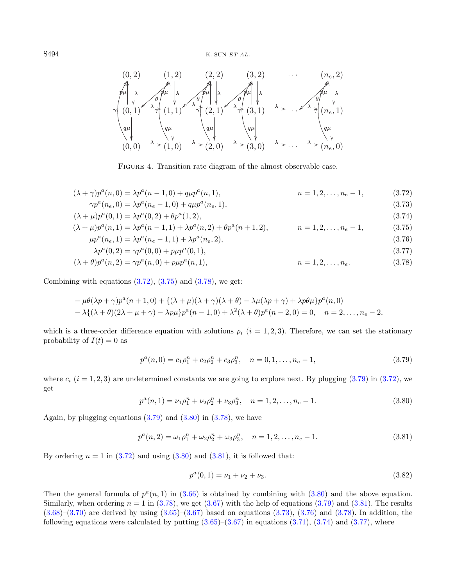<span id="page-13-0"></span>

<span id="page-13-10"></span><span id="page-13-9"></span><span id="page-13-8"></span><span id="page-13-7"></span><span id="page-13-3"></span><span id="page-13-2"></span><span id="page-13-1"></span>FIGURE 4. Transition rate diagram of the almost observable case.

$$
(\lambda + \gamma)p^{a}(n,0) = \lambda p^{a}(n-1,0) + q\mu p^{a}(n,1),
$$
  
\n
$$
n = 1,2,...,n_{e} - 1,
$$
\n(3.72)

$$
\gamma p^{a}(n_{e}, 0) = \lambda p^{a}(n_{e} - 1, 0) + q\mu p^{a}(n_{e}, 1),
$$
\n
$$
(\lambda + \mu)p^{a}(0, 1) = \lambda p^{a}(0, 2) + \theta p^{a}(1, 2),
$$
\n(3.73)\n(3.74)

$$
(\lambda + \mu)p^{a}(n, 1) = \lambda p^{a}(n - 1, 1) + \lambda p^{a}(n, 2) + \theta p^{a}(n + 1, 2), \qquad n = 1, 2, \dots, n_e - 1,
$$
\n(3.75)

<span id="page-13-4"></span>
$$
\mu p^{a}(n_e, 1) = \lambda p^{a}(n_e - 1, 1) + \lambda p^{a}(n_e, 2), \qquad (3.76)
$$

$$
\lambda p^{a}(0,2) = \gamma p^{a}(0,0) + p\mu p^{a}(0,1),
$$
\n
$$
(3.77)
$$
\n
$$
+ \theta \ln^{a}(p,2) = \gamma p^{a}(p,0) + p\mu p^{a}(p,1)
$$
\n
$$
p = 1.2 \qquad p \tag{3.78}
$$

$$
(\lambda + \theta)p^{a}(n, 2) = \gamma p^{a}(n, 0) + p\mu p^{a}(n, 1), \qquad n = 1, 2, \dots, n_e.
$$
\n(3.78)

<span id="page-13-5"></span>Combining with equations  $(3.72)$ ,  $(3.75)$  and  $(3.78)$ , we get:

$$
-\mu\theta(\lambda p + \gamma)p^{a}(n+1,0) + \{(\lambda + \mu)(\lambda + \gamma)(\lambda + \theta) - \lambda\mu(\lambda p + \gamma) + \lambda p\theta\mu\}p^{a}(n,0)
$$
  

$$
-\lambda\{(\lambda + \theta)(2\lambda + \mu + \gamma) - \lambda p\mu\}p^{a}(n-1,0) + \lambda^{2}(\lambda + \theta)p^{a}(n-2,0) = 0, \quad n = 2,..., n_{e} - 2,
$$

which is a three-order difference equation with solutions  $\rho_i$  (i = 1, 2, 3). Therefore, we can set the stationary probability of  $I(t) = 0$  as

<span id="page-13-6"></span>
$$
p^{a}(n,0) = c_{1}\rho_{1}^{n} + c_{2}\rho_{2}^{n} + c_{3}\rho_{3}^{n}, \quad n = 0, 1, ..., n_{e} - 1,
$$
\n(3.79)

where  $c_i$  ( $i = 1, 2, 3$ ) are undetermined constants we are going to explore next. By plugging [\(3.79\)](#page-13-4) in [\(3.72\)](#page-13-1), we get

$$
p^{a}(n,1) = \nu_1 \rho_1^{n} + \nu_2 \rho_2^{n} + \nu_3 \rho_3^{n}, \quad n = 1, 2, ..., n_e - 1.
$$
 (3.80)

Again, by plugging equations  $(3.79)$  and  $(3.80)$  in  $(3.78)$ , we have

$$
p^{a}(n,2) = \omega_1 \rho_1^{n} + \omega_2 \rho_2^{n} + \omega_3 \rho_3^{n}, \quad n = 1, 2, ..., n_e - 1.
$$
 (3.81)

By ordering  $n = 1$  in  $(3.72)$  and using  $(3.80)$  and  $(3.81)$ , it is followed that:

$$
p^{a}(0,1) = \nu_1 + \nu_2 + \nu_3. \tag{3.82}
$$

Then the general formula of  $p^a(n, 1)$  in [\(3.66\)](#page-12-1) is obtained by combining with [\(3.80\)](#page-13-5) and the above equation. Similarly, when ordering  $n = 1$  in [\(3.78\)](#page-13-3), we get [\(3.67\)](#page-12-2) with the help of equations [\(3.79\)](#page-13-4) and [\(3.81\)](#page-13-6). The results  $(3.68)$ – $(3.70)$  are derived by using  $(3.65)$ – $(3.67)$  based on equations  $(3.73)$ ,  $(3.76)$  and  $(3.78)$ . In addition, the following equations were calculated by putting  $(3.65)-(3.67)$  $(3.65)-(3.67)$  $(3.65)-(3.67)$  in equations  $(3.71),(3.74)$  $(3.71),(3.74)$  $(3.71),(3.74)$  and  $(3.77)$ , where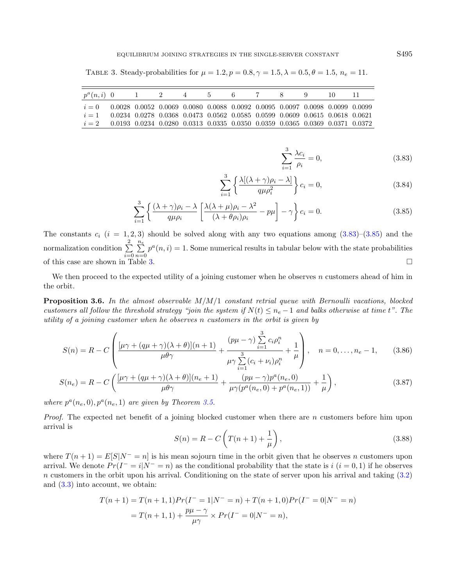| $p^a(n,i)$ 0                                                                         |                                                                                                    | 1 2 4 5 6 7 8 9 |  |  |  |  |  |
|--------------------------------------------------------------------------------------|----------------------------------------------------------------------------------------------------|-----------------|--|--|--|--|--|
| $i = 0$ 0.0028 0.0052 0.0069 0.0080 0.0088 0.0092 0.0095 0.0097 0.0098 0.0099 0.0099 |                                                                                                    |                 |  |  |  |  |  |
| $i=1$                                                                                | $0.0234$ $0.0278$ $0.0368$ $0.0473$ $0.0562$ $0.0585$ $0.0599$ $0.0609$ $0.0615$ $0.0618$ $0.0621$ |                 |  |  |  |  |  |
| $i = 2$ 0.0193 0.0234 0.0280 0.0313 0.0335 0.0350 0.0359 0.0365 0.0369 0.0371 0.0372 |                                                                                                    |                 |  |  |  |  |  |

<span id="page-14-2"></span>TABLE 3. Steady-probabilities for  $\mu = 1.2, p = 0.8, \gamma = 1.5, \lambda = 0.5, \theta = 1.5, n_e = 11$ .

<span id="page-14-4"></span><span id="page-14-3"></span><span id="page-14-1"></span><span id="page-14-0"></span>
$$
\sum_{i=1}^{3} \frac{\lambda c_i}{\rho_i} = 0,\tag{3.83}
$$

$$
\sum_{i=1}^{3} \left\{ \frac{\lambda [(\lambda + \gamma)\rho_i - \lambda]}{q\mu \rho_i^2} \right\} c_i = 0,
$$
\n(3.84)

$$
\sum_{i=1}^{3} \left\{ \frac{(\lambda + \gamma)\rho_i - \lambda}{q\mu \rho_i} \left[ \frac{\lambda(\lambda + \mu)\rho_i - \lambda^2}{(\lambda + \theta \rho_i)\rho_i} - p\mu \right] - \gamma \right\} c_i = 0.
$$
 (3.85)

The constants  $c_i$  ( $i = 1, 2, 3$ ) should be solved along with any two equations among  $(3.83)$ – $(3.85)$  and the normalization condition  $\sum_{n=1}^{\infty}$  $i=0$  $\sum_{n=1}^{\infty}$  $\sum_{n=0}^{\infty} p^a(n,i) = 1$ . Some numerical results in tabular below with the state probabilities of this case are shown in Table [3.](#page-14-2)

We then proceed to the expected utility of a joining customer when he observes  $n$  customers ahead of him in the orbit.

**Proposition 3.6.** In the almost observable  $M/M/1$  constant retrial queue with Bernoulli vacations, blocked customers all follow the threshold strategy "join the system if  $N(t) \leq n_e - 1$  and balks otherwise at time t". The utility of a joining customer when he observes n customers in the orbit is given by

<span id="page-14-5"></span>
$$
S(n) = R - C \left( \frac{[\mu \gamma + (q\mu + \gamma)(\lambda + \theta)](n+1)}{\mu \theta \gamma} + \frac{(p\mu - \gamma) \sum_{i=1}^{3} c_i \rho_i^n}{\mu \gamma \sum_{i=1}^{3} (c_i + \nu_i) \rho_i^n} + \frac{1}{\mu} \right), \quad n = 0, \dots, n_e - 1,
$$
 (3.86)

$$
S(n_e) = R - C \left( \frac{[\mu \gamma + (q\mu + \gamma)(\lambda + \theta)](n_e + 1)}{\mu \theta \gamma} + \frac{(p\mu - \gamma)p^a(n_e, 0)}{\mu \gamma(p^a(n_e, 0) + p^a(n_e, 1))} + \frac{1}{\mu} \right),
$$
\n(3.87)

where  $p^a(n_e, 0), p^a(n_e, 1)$  are given by Theorem [3.5.](#page-12-7)

*Proof.* The expected net benefit of a joining blocked customer when there are  $n$  customers before him upon arrival is

$$
S(n) = R - C\left(T(n+1) + \frac{1}{\mu}\right),
$$
\n(3.88)

where  $T(n+1) = E[S|N^- = n]$  is his mean sojourn time in the orbit given that he observes n customers upon arrival. We denote  $Pr(I^{-} = i|N^{-} = n)$  as the conditional probability that the state is  $i$   $(i = 0, 1)$  if he observes n customers in the orbit upon his arrival. Conditioning on the state of server upon his arrival and taking [\(3.2\)](#page-3-1) and [\(3.3\)](#page-3-2) into account, we obtain:

$$
T(n+1) = T(n+1,1)Pr(I^{-} = 1|N^{-} = n) + T(n+1,0)Pr(I^{-} = 0|N^{-} = n)
$$
  
=  $T(n+1,1) + \frac{p\mu - \gamma}{\mu\gamma} \times Pr(I^{-} = 0|N^{-} = n),$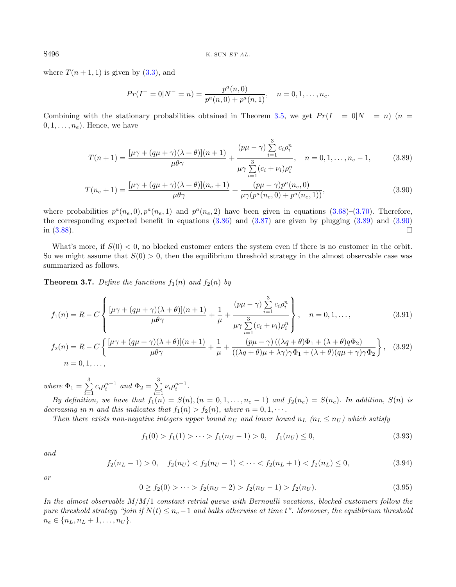where  $T(n+1,1)$  is given by  $(3.3)$ , and

<span id="page-15-5"></span><span id="page-15-1"></span><span id="page-15-0"></span>
$$
Pr(I^{-} = 0|N^{-} = n) = \frac{p^{a}(n,0)}{p^{a}(n,0) + p^{a}(n,1)}, \quad n = 0, 1, ..., n_e.
$$

Combining with the stationary probabilities obtained in Theorem [3.5,](#page-12-7) we get  $Pr(I^- = 0|N^- = n)$  (n =  $(0, 1, \ldots, n_e)$ . Hence, we have

$$
T(n+1) = \frac{[\mu\gamma + (q\mu + \gamma)(\lambda + \theta)](n+1)}{\mu\theta\gamma} + \frac{(p\mu - \gamma)\sum_{i=1}^{3} c_i \rho_i^n}{\mu\gamma \sum_{i=1}^{3} (c_i + \nu_i)\rho_i^n}, \quad n = 0, 1, ..., n_e - 1,
$$
 (3.89)

$$
T(n_e+1) = \frac{[\mu\gamma + (q\mu + \gamma)(\lambda + \theta)](n_e+1)}{\mu\theta\gamma} + \frac{(p\mu - \gamma)p^a(n_e, 0)}{\mu\gamma(p^a(n_e, 0) + p^a(n_e, 1))},
$$
(3.90)

where probabilities  $p^a(n_e, 0), p^a(n_e, 1)$  and  $p^a(n_e, 2)$  have been given in equations  $(3.68)$ – $(3.70)$ . Therefore, the corresponding expected benefit in equations [\(3.86\)](#page-14-3) and [\(3.87\)](#page-14-4) are given by plugging [\(3.89\)](#page-15-0) and [\(3.90\)](#page-15-1) in  $(3.88)$ .

What's more, if  $S(0) < 0$ , no blocked customer enters the system even if there is no customer in the orbit. So we might assume that  $S(0) > 0$ , then the equilibrium threshold strategy in the almost observable case was summarized as follows.

<span id="page-15-6"></span>**Theorem 3.7.** Define the functions  $f_1(n)$  and  $f_2(n)$  by

$$
f_1(n) = R - C \left\{ \frac{[\mu \gamma + (q\mu + \gamma)(\lambda + \theta)](n+1)}{\mu \theta \gamma} + \frac{1}{\mu} + \frac{(p\mu - \gamma) \sum_{i=1}^3 c_i \rho_i^n}{\mu \gamma \sum_{i=1}^3 (c_i + \nu_i) \rho_i^n} \right\}, \quad n = 0, 1, ..., \tag{3.91}
$$

<span id="page-15-3"></span>
$$
f_2(n) = R - C \left\{ \frac{[\mu \gamma + (q\mu + \gamma)(\lambda + \theta)](n+1)}{\mu \theta \gamma} + \frac{1}{\mu} + \frac{(p\mu - \gamma)((\lambda q + \theta)\Phi_1 + (\lambda + \theta)q\Phi_2)}{((\lambda q + \theta)\mu + \lambda \gamma)\gamma \Phi_1 + (\lambda + \theta)(q\mu + \gamma)\gamma \Phi_2} \right\},
$$
 (3.92)

<span id="page-15-4"></span>where  $\Phi_1 = \sum^3$  $\sum_{i=1}^{3} c_i \rho_i^{n-1}$  and  $\Phi_2 = \sum_{i=1}^{3}$  $\sum_{i=1}^{\infty} \nu_i \rho_i^{n-1}.$ 

By definition, we have that  $f_1(n) = S(n)$ ,  $(n = 0, 1, \ldots, n_e - 1)$  and  $f_2(n_e) = S(n_e)$ . In addition,  $S(n)$  is decreasing in n and this indicates that  $f_1(n) > f_2(n)$ , where  $n = 0, 1, \cdots$ .

Then there exists non-negative integers upper bound  $n_U$  and lower bound  $n_L$  ( $n_L \leq n_U$ ) which satisfy

<span id="page-15-2"></span>
$$
f_1(0) > f_1(1) > \dots > f_1(n_U - 1) > 0, \quad f_1(n_U) \le 0,
$$
\n(3.93)

and

$$
f_2(n_L - 1) > 0, \quad f_2(n_U) < f_2(n_U - 1) < \dots < f_2(n_L + 1) < f_2(n_L) \le 0,\tag{3.94}
$$

or

$$
0 \ge f_2(0) > \dots > f_2(n_U - 2) > f_2(n_U - 1) > f_2(n_U). \tag{3.95}
$$

In the almost observable  $M/M/1$  constant retrial queue with Bernoulli vacations, blocked customers follow the pure threshold strategy "join if  $N(t) \leq n_e - 1$  and balks otherwise at time t". Moreover, the equilibrium threshold  $n_e \in \{n_L, n_L + 1, \ldots, n_U\}.$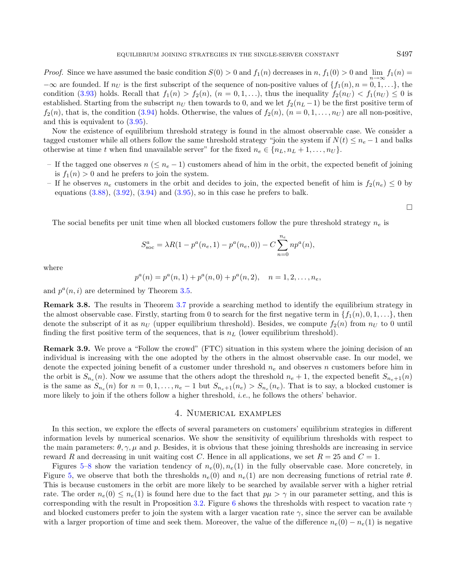*Proof.* Since we have assumed the basic condition  $S(0) > 0$  and  $f_1(n)$  decreases in n,  $f_1(0) > 0$  and  $\lim_{n \to \infty} f_1(n) =$  $-\infty$  are founded. If  $n_U$  is the first subscript of the sequence of non-positive values of  $\{f_1(n), n = 0, 1, \ldots\}$ , the condition [\(3.93\)](#page-15-2) holds. Recall that  $f_1(n) > f_2(n)$ ,  $(n = 0, 1, \ldots)$ , thus the inequality  $f_2(n_U) < f_1(n_U) \leq 0$  is established. Starting from the subscript  $n_U$  then towards to 0, and we let  $f_2(n_L - 1)$  be the first positive term of  $f_2(n)$ , that is, the condition [\(3.94\)](#page-15-3) holds. Otherwise, the values of  $f_2(n)$ ,  $(n = 0, 1, \ldots, n_U)$  are all non-positive, and this is equivalent to [\(3.95\)](#page-15-4).

Now the existence of equilibrium threshold strategy is found in the almost observable case. We consider a tagged customer while all others follow the same threshold strategy "join the system if  $N(t) \leq n_e - 1$  and balks otherwise at time t when find unavailable server" for the fixed  $n_e \in \{n_L, n_L + 1, \ldots, n_U\}$ .

- If the tagged one observes  $n \leq n_e 1$ ) customers ahead of him in the orbit, the expected benefit of joining is  $f_1(n) > 0$  and he prefers to join the system.
- If he observes  $n_e$  customers in the orbit and decides to join, the expected benefit of him is  $f_2(n_e) \leq 0$  by equations  $(3.88)$ ,  $(3.92)$ ,  $(3.94)$  and  $(3.95)$ , so in this case he prefers to balk.

 $\Box$ 

The social benefits per unit time when all blocked customers follow the pure threshold strategy  $n_e$  is

$$
S_{\rm soc}^a = \lambda R(1 - p^a(n_e, 1) - p^a(n_e, 0)) - C \sum_{n=0}^{n_e} n p^a(n),
$$

where

$$
p^{a}(n) = p^{a}(n, 1) + p^{a}(n, 0) + p^{a}(n, 2), \quad n = 1, 2, ..., n_{e},
$$

and  $p^a(n,i)$  are determined by Theorem [3.5.](#page-12-7)

Remark 3.8. The results in Theorem [3.7](#page-15-6) provide a searching method to identify the equilibrium strategy in the almost observable case. Firstly, starting from 0 to search for the first negative term in  $\{f_1(n), 0, 1, \ldots\}$ , then denote the subscript of it as  $n_U$  (upper equilibrium threshold). Besides, we compute  $f_2(n)$  from  $n_U$  to 0 until finding the first positive term of the sequences, that is  $n<sub>L</sub>$  (lower equilibrium threshold).

Remark 3.9. We prove a "Follow the crowd" (FTC) situation in this system where the joining decision of an individual is increasing with the one adopted by the others in the almost observable case. In our model, we denote the expected joining benefit of a customer under threshold  $n_e$  and observes n customers before him in the orbit is  $S_{n_e}(n)$ . Now we assume that the others adopt the threshold  $n_e + 1$ , the expected benefit  $S_{n_e+1}(n)$ is the same as  $S_{n_e}(n)$  for  $n = 0, 1, \ldots, n_e - 1$  but  $S_{n_e+1}(n_e) > S_{n_e}(n_e)$ . That is to say, a blocked customer is more likely to join if the others follow a higher threshold, *i.e.*, he follows the others' behavior.

## 4. Numerical examples

<span id="page-16-0"></span>In this section, we explore the effects of several parameters on customers' equilibrium strategies in different information levels by numerical scenarios. We show the sensitivity of equilibrium thresholds with respect to the main parameters:  $\theta$ ,  $\gamma$ ,  $\mu$  and p. Besides, it is obvious that these joining thresholds are increasing in service reward R and decreasing in unit waiting cost C. Hence in all applications, we set  $R = 25$  and  $C = 1$ .

Figures [5–](#page-17-0)[8](#page-18-0) show the variation tendency of  $n_e(0), n_e(1)$  in the fully observable case. More concretely, in Figure [5,](#page-17-0) we observe that both the thresholds  $n_e(0)$  and  $n_e(1)$  are non decreasing functions of retrial rate  $\theta$ . This is because customers in the orbit are more likely to be searched by available server with a higher retrial rate. The order  $n_e(0) \leq n_e(1)$  is found here due to the fact that  $p\mu > \gamma$  in our parameter setting, and this is corresponding with the result in Proposition [3.2.](#page-4-0) Figure [6](#page-17-1) shows the thresholds with respect to vacation rate  $\gamma$ and blocked customers prefer to join the system with a larger vacation rate  $\gamma$ , since the server can be available with a larger proportion of time and seek them. Moreover, the value of the difference  $n_e(0) - n_e(1)$  is negative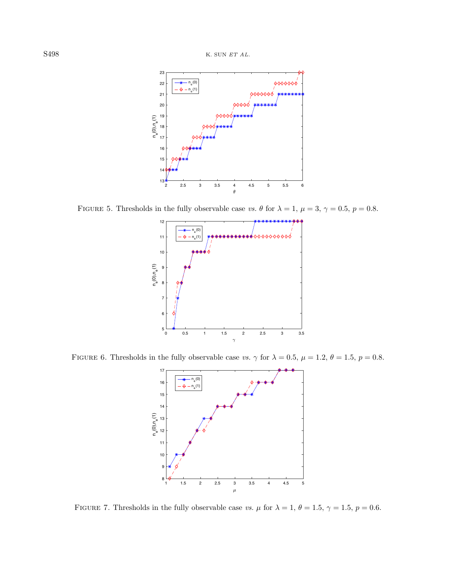<span id="page-17-0"></span>

FIGURE 5. Thresholds in the fully observable case vs.  $\theta$  for  $\lambda = 1$ ,  $\mu = 3$ ,  $\gamma = 0.5$ ,  $p = 0.8$ .

<span id="page-17-1"></span>

FIGURE 6. Thresholds in the fully observable case vs.  $\gamma$  for  $\lambda = 0.5$ ,  $\mu = 1.2$ ,  $\theta = 1.5$ ,  $p = 0.8$ .

<span id="page-17-2"></span>

FIGURE 7. Thresholds in the fully observable case vs.  $\mu$  for  $\lambda = 1, \theta = 1.5, \gamma = 1.5, p = 0.6$ .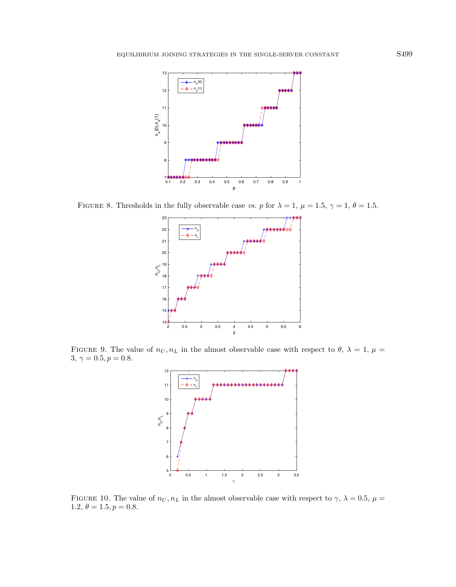<span id="page-18-0"></span>

FIGURE 8. Thresholds in the fully observable case vs. p for  $\lambda = 1$ ,  $\mu = 1.5$ ,  $\gamma = 1$ ,  $\theta = 1.5$ .

<span id="page-18-1"></span>

FIGURE 9. The value of  $n_U, n_L$  in the almost observable case with respect to  $\theta$ ,  $\lambda = 1$ ,  $\mu =$  $3,\,\gamma=0.5, p=0.8.$ 



FIGURE 10. The value of  $n_U, n_L$  in the almost observable case with respect to  $\gamma$ ,  $\lambda = 0.5$ ,  $\mu =$ 1.2,  $\theta = 1.5, p = 0.8$ .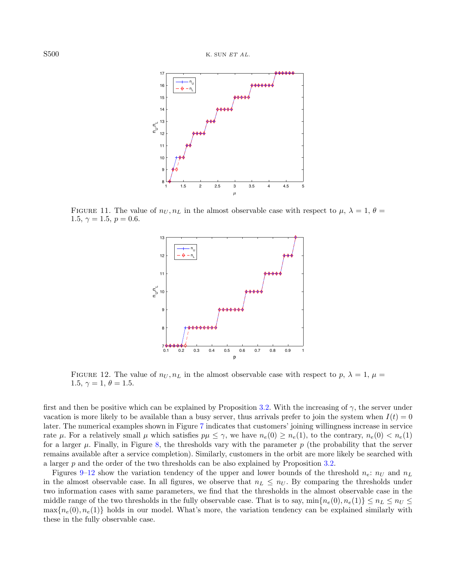

FIGURE 11. The value of  $n_U, n_L$  in the almost observable case with respect to  $\mu, \lambda = 1, \theta =$ 1.5,  $\gamma = 1.5, p = 0.6$ .

<span id="page-19-0"></span>

FIGURE 12. The value of  $n_U, n_L$  in the almost observable case with respect to p,  $\lambda = 1$ ,  $\mu =$ 1.5,  $\gamma = 1, \theta = 1.5$ .

first and then be positive which can be explained by Proposition [3.2.](#page-4-0) With the increasing of  $\gamma$ , the server under vacation is more likely to be available than a busy server, thus arrivals prefer to join the system when  $I(t) = 0$ later. The numerical examples shown in Figure [7](#page-17-2) indicates that customers' joining willingness increase in service rate  $\mu$ . For a relatively small  $\mu$  which satisfies  $p\mu \leq \gamma$ , we have  $n_e(0) \geq n_e(1)$ , to the contrary,  $n_e(0) < n_e(1)$ for a larger  $\mu$ . Finally, in Figure [8,](#page-18-0) the thresholds vary with the parameter  $p$  (the probability that the server remains available after a service completion). Similarly, customers in the orbit are more likely be searched with a larger p and the order of the two thresholds can be also explained by Proposition [3.2.](#page-4-0)

Figures [9](#page-18-1)[–12](#page-19-0) show the variation tendency of the upper and lower bounds of the threshold  $n_e$ :  $n_U$  and  $n_L$ in the almost observable case. In all figures, we observe that  $n_L \leq n_U$ . By comparing the thresholds under two information cases with same parameters, we find that the thresholds in the almost observable case in the middle range of the two thresholds in the fully observable case. That is to say,  $\min\{n_e(0), n_e(1)\} \leq n_L \leq n_U \leq$  $\max\{n_e(0), n_e(1)\}\$  holds in our model. What's more, the variation tendency can be explained similarly with these in the fully observable case.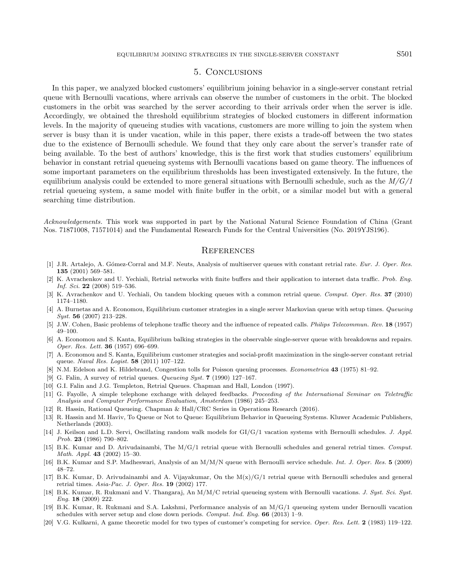#### 5. Conclusions

<span id="page-20-20"></span><span id="page-20-9"></span>In this paper, we analyzed blocked customers' equilibrium joining behavior in a single-server constant retrial queue with Bernoulli vacations, where arrivals can observe the number of customers in the orbit. The blocked customers in the orbit was searched by the server according to their arrivals order when the server is idle. Accordingly, we obtained the threshold equilibrium strategies of blocked customers in different information levels. In the majority of queueing studies with vacations, customers are more willing to join the system when server is busy than it is under vacation, while in this paper, there exists a trade-off between the two states due to the existence of Bernoulli schedule. We found that they only care about the server's transfer rate of being available. To the best of authors' knowledge, this is the first work that studies customers' equilibrium behavior in constant retrial queueing systems with Bernoulli vacations based on game theory. The influences of some important parameters on the equilibrium thresholds has been investigated extensively. In the future, the equilibrium analysis could be extended to more general situations with Bernoulli schedule, such as the  $M/G/1$ retrial queueing system, a same model with finite buffer in the orbit, or a similar model but with a general searching time distribution.

<span id="page-20-19"></span><span id="page-20-18"></span><span id="page-20-5"></span><span id="page-20-2"></span><span id="page-20-1"></span>Acknowledgements. This work was supported in part by the National Natural Science Foundation of China (Grant Nos. 71871008, 71571014) and the Fundamental Research Funds for the Central Universities (No. 2019YJS196).

#### **REFERENCES**

- <span id="page-20-17"></span><span id="page-20-6"></span><span id="page-20-0"></span>[1] J.R. Artalejo, A. Gómez-Corral and M.F. Neuts, Analysis of multiserver queues with constant retrial rate. Eur. J. Oper. Res. 135 (2001) 569–581.
- <span id="page-20-8"></span><span id="page-20-7"></span>[2] K. Avrachenkov and U. Yechiali, Retrial networks with finite buffers and their application to internet data traffic. Prob. Eng. Inf. Sci. 22 (2008) 519–536.
- <span id="page-20-4"></span>[3] K. Avrachenkov and U. Yechiali, On tandem blocking queues with a common retrial queue. Comput. Oper. Res. 37 (2010) 1174–1180.
- <span id="page-20-3"></span>[4] A. Burnetas and A. Economou, Equilibrium customer strategies in a single server Markovian queue with setup times. Queueing Syst. 56 (2007) 213–228.
- <span id="page-20-10"></span>[5] J.W. Cohen, Basic problems of telephone traffic theory and the influence of repeated calls. Philips Telecommun. Rev. 18 (1957) 49–100.
- <span id="page-20-14"></span>[6] A. Economou and S. Kanta, Equilibrium balking strategies in the observable single-server queue with breakdowns and repairs. Oper. Res. Lett. 36 (1957) 696–699.
- <span id="page-20-11"></span>[7] A. Economou and S. Kanta, Equilibrium customer strategies and social-profit maximization in the single-server constant retrial queue. Naval Res. Logist. 58 (2011) 107–122.
- <span id="page-20-15"></span>[8] N.M. Edelson and K. Hildebrand, Congestion tolls for Poisson queuing processes. Econometrica 43 (1975) 81–92.
- [9] G. Falin, A survey of retrial queues. Queueing Syst.  $7$  (1990) 127–167.
- <span id="page-20-12"></span>[10] G.I. Falin and J.G. Templeton, Retrial Queues. Chapman and Hall, London (1997).
- <span id="page-20-13"></span>[11] G. Fayolle, A simple telephone exchange with delayed feedbacks. Proceeding of the International Seminar on Teletraffic Analysis and Computer Performance Evaluation, Amsterdam (1986) 245–253.
- <span id="page-20-16"></span>[12] R. Hassin, Rational Queueing. Chapman & Hall/CRC Series in Operations Research (2016).
- [13] R. Hassin and M. Haviv, To Queue or Not to Queue: Equilibrium Behavior in Queueing Systems. Kluwer Academic Publishers, Netherlands (2003).
- [14] J. Keilson and L.D. Servi, Oscillating random walk models for GI/G/1 vacation systems with Bernoulli schedules. J. Appl. Prob. 23 (1986) 790-802.
- [15] B.K. Kumar and D. Arivudainambi, The M/G/1 retrial queue with Bernoulli schedules and general retrial times. Comput. Math. Appl. 43 (2002) 15–30.
- [16] B.K. Kumar and S.P. Madheswari, Analysis of an M/M/N queue with Bernoulli service schedule. Int. J. Oper. Res. 5 (2009) 48–72.
- [17] B.K. Kumar, D. Arivudainambi and A. Vijayakumar, On the  $M(x)/G/1$  retrial queue with Bernoulli schedules and general retrial times. Asia-Pac. J. Oper. Res. 19 (2002) 177.
- [18] B.K. Kumar, R. Rukmani and V. Thangaraj, An M/M/C retrial queueing system with Bernoulli vacations. J. Syst. Sci. Syst. Eng. 18 (2009) 222.
- [19] B.K. Kumar, R. Rukmani and S.A. Lakshmi, Performance analysis of an M/G/1 queueing system under Bernoulli vacation schedules with server setup and close down periods. Comput. Ind. Eng. 66 (2013) 1–9.
- [20] V.G. Kulkarni, A game theoretic model for two types of customer's competing for service. Oper. Res. Lett. 2 (1983) 119–122.